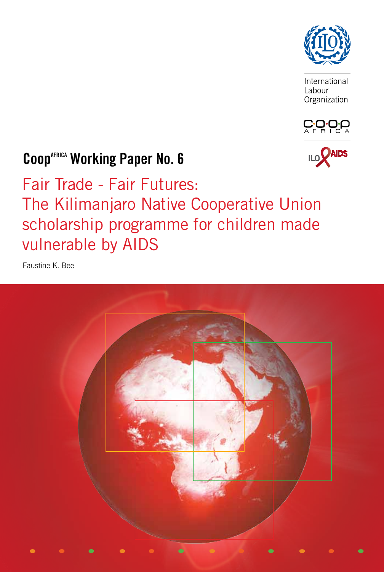

International Labour Organization





# **CoopAFRICA Working Paper No. 6**

Fair Trade - Fair Futures: The Kilimanjaro Native Cooperative Union scholarship programme for children made vulnerable by AIDS

Faustine K. Bee

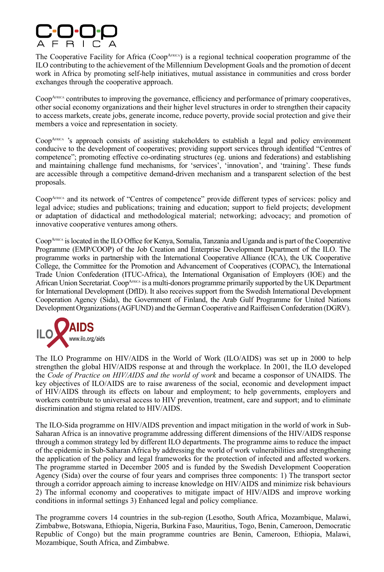

The Cooperative Facility for Africa (Coop<sup>AFRICA</sup>) is a regional technical cooperation programme of the ILO contributing to the achievement of the Millennium Development Goals and the promotion of decent work in Africa by promoting self-help initiatives, mutual assistance in communities and cross border exchanges through the cooperative approach.

Coop<sup>AFRICA</sup> contributes to improving the governance, efficiency and performance of primary cooperatives, other social economy organizations and their higher level structures in order to strengthen their capacity to access markets, create jobs, generate income, reduce poverty, provide social protection and give their members a voice and representation in society.

Coop<sup>AFRICA</sup> 's approach consists of assisting stakeholders to establish a legal and policy environment conducive to the development of cooperatives; providing support services through identified "Centres of competence"; promoting effective co-ordinating structures (eg. unions and federations) and establishing and maintaining challenge fund mechanisms, for 'services', 'innovation', and 'training'. These funds are accessible through a competitive demand-driven mechanism and a transparent selection of the best proposals.

Coop<sup>AFRICA</sup> and its network of "Centres of competence" provide different types of services: policy and legal advice; studies and publications; training and education; support to field projects; development or adaptation of didactical and methodological material; networking; advocacy; and promotion of innovative cooperative ventures among others.

Coop<sup>AFRICA</sup> is located in the ILO Office for Kenya, Somalia, Tanzania and Uganda and is part of the Cooperative Programme (EMP/COOP) of the Job Creation and Enterprise Development Department of the ILO. The programme works in partnership with the International Cooperative Alliance (ICA), the UK Cooperative College, the Committee for the Promotion and Advancement of Cooperatives (COPAC), the International Trade Union Confederation (ITUC-Africa), the International Organisation of Employers (IOE) and the African Union Secretariat. Coop<sup>AFRICA</sup> is a multi-donors programme primarily supported by the UK Department for International Development (DfID). It also receives support from the Swedish International Development Cooperation Agency (Sida), the Government of Finland, the Arab Gulf Programme for United Nations Development Organizations (AGFUND) and the German Cooperative and Raiffeisen Confederation (DGRV).



The ILO Programme on HIV/AIDS in the World of Work (ILO/AIDS) was set up in 2000 to help strengthen the global HIV/AIDS response at and through the workplace. In 2001, the ILO developed the *Code of Practice on HIV/AIDS and the world of work* and became a cosponsor of UNAIDS. The key objectives of ILO/AIDS are to raise awareness of the social, economic and development impact of HIV/AIDS through its effects on labour and employment; to help governments, employers and workers contribute to universal access to HIV prevention, treatment, care and support; and to eliminate discrimination and stigma related to HIV/AIDS.

The ILO-Sida programme on HIV/AIDS prevention and impact mitigation in the world of work in Sub-Saharan Africa is an innovative programme addressing different dimensions of the HIV/AIDS response through a common strategy led by different ILO departments. The programme aims to reduce the impact of the epidemic in Sub-Saharan Africa by addressing the world of work vulnerabilities and strengthening the application of the policy and legal frameworks for the protection of infected and affected workers. The programme started in December 2005 and is funded by the Swedish Development Cooperation Agency (Sida) over the course of four years and comprises three components: 1) The transport sector through a corridor approach aiming to increase knowledge on HIV/AIDS and minimize risk behaviours 2) The informal economy and cooperatives to mitigate impact of HIV/AIDS and improve working conditions in informal settings 3) Enhanced legal and policy compliance.

The programme covers 14 countries in the sub-region (Lesotho, South Africa, Mozambique, Malawi, Zimbabwe, Botswana, Ethiopia, Nigeria, Burkina Faso, Mauritius, Togo, Benin, Cameroon, Democratic Republic of Congo) but the main programme countries are Benin, Cameroon, Ethiopia, Malawi, Mozambique, South Africa, and Zimbabwe.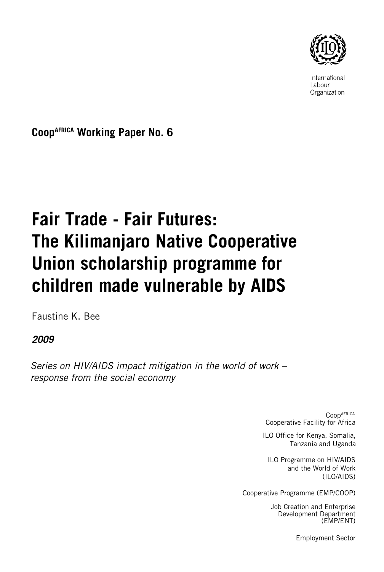

International Labour Organization

**CoopAFRICA Working Paper No. 6**

# **Fair Trade - Fair Futures: The Kilimanjaro Native Cooperative Union scholarship programme for children made vulnerable by AIDS**

Faustine K. Bee

*2009*

*Series on HIV/AIDS impact mitigation in the world of work – response from the social economy*

> **CoopAFRICA** Cooperative Facility for Africa

ILO Office for Kenya, Somalia, Tanzania and Uganda

ILO Programme on HIV/AIDS and the World of Work (ILO/AIDS)

Cooperative Programme (EMP/COOP)

Job Creation and Enterprise Development Department (EMP/ENT)

Employment Sector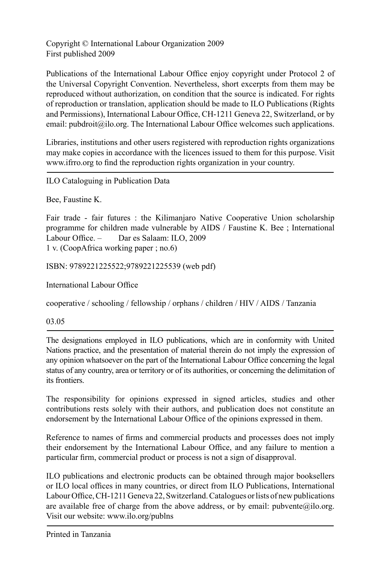Copyright © International Labour Organization 2009 First published 2009

Publications of the International Labour Office enjoy copyright under Protocol 2 of the Universal Copyright Convention. Nevertheless, short excerpts from them may be reproduced without authorization, on condition that the source is indicated. For rights of reproduction or translation, application should be made to ILO Publications (Rights and Permissions), International Labour Office, CH-1211 Geneva 22, Switzerland, or by email: pubdroit@ilo.org. The International Labour Office welcomes such applications.

Libraries, institutions and other users registered with reproduction rights organizations may make copies in accordance with the licences issued to them for this purpose. Visit www.ifrro.org to find the reproduction rights organization in your country.

ILO Cataloguing in Publication Data

Bee, Faustine K.

Fair trade - fair futures : the Kilimanjaro Native Cooperative Union scholarship programme for children made vulnerable by AIDS / Faustine K. Bee ; International Labour Office. – Dar es Salaam: ILO, 2009 1 v. (CoopAfrica working paper ; no.6)

ISBN: 9789221225522;9789221225539 (web pdf)

International Labour Office

cooperative / schooling / fellowship / orphans / children / HIV / AIDS / Tanzania

03.05

The designations employed in ILO publications, which are in conformity with United Nations practice, and the presentation of material therein do not imply the expression of any opinion whatsoever on the part of the International Labour Office concerning the legal status of any country, area or territory or of its authorities, or concerning the delimitation of its frontiers.

The responsibility for opinions expressed in signed articles, studies and other contributions rests solely with their authors, and publication does not constitute an endorsement by the International Labour Office of the opinions expressed in them.

Reference to names of firms and commercial products and processes does not imply their endorsement by the International Labour Office, and any failure to mention a particular firm, commercial product or process is not a sign of disapproval.

ILO publications and electronic products can be obtained through major booksellers or ILO local offices in many countries, or direct from ILO Publications, International Labour Office, CH-1211 Geneva 22, Switzerland. Catalogues or lists of new publications are available free of charge from the above address, or by email:  $\text{pubvente}(a)$ ilo.org. Visit our website: www.ilo.org/publns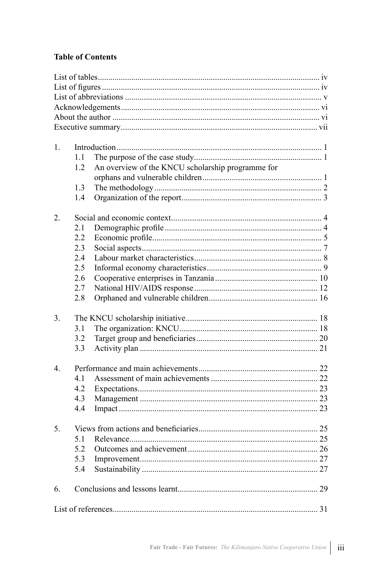# **Table of Contents**

| 1.             |     |                                                   |  |
|----------------|-----|---------------------------------------------------|--|
|                | 1.1 |                                                   |  |
|                | 1.2 | An overview of the KNCU scholarship programme for |  |
|                |     |                                                   |  |
|                | 1.3 |                                                   |  |
|                | 1.4 |                                                   |  |
|                |     |                                                   |  |
| 2.             |     |                                                   |  |
|                | 2.1 |                                                   |  |
|                | 2.2 |                                                   |  |
|                | 2.3 |                                                   |  |
|                | 2.4 |                                                   |  |
|                | 2.5 |                                                   |  |
|                | 2.6 |                                                   |  |
|                | 2.7 |                                                   |  |
|                | 2.8 |                                                   |  |
| 3 <sub>1</sub> |     |                                                   |  |
|                | 3.1 |                                                   |  |
|                | 3.2 |                                                   |  |
|                | 3.3 |                                                   |  |
| $\overline{4}$ |     |                                                   |  |
|                | 4.1 |                                                   |  |
|                | 4.2 |                                                   |  |
|                | 4.3 |                                                   |  |
|                | 4.4 |                                                   |  |
|                |     |                                                   |  |
| 5.             |     |                                                   |  |
|                | 5.1 |                                                   |  |
|                | 5.2 |                                                   |  |
|                | 5.3 |                                                   |  |
|                | 5.4 |                                                   |  |
| 6.             |     |                                                   |  |
|                |     |                                                   |  |
|                |     |                                                   |  |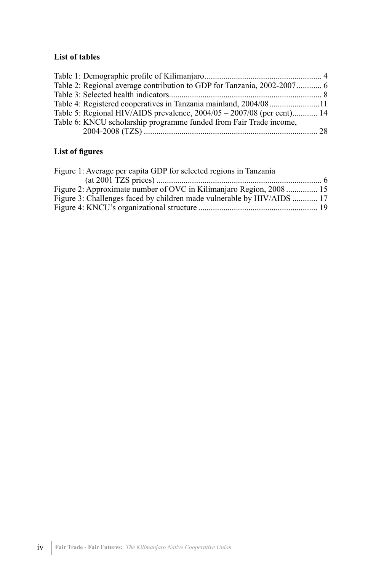# **List of tables**

| Table 2: Regional average contribution to GDP for Tanzania, 2002-2007 6 |  |
|-------------------------------------------------------------------------|--|
|                                                                         |  |
| Table 4: Registered cooperatives in Tanzania mainland, 2004/0811        |  |
| Table 5: Regional HIV/AIDS prevalence, 2004/05 - 2007/08 (per cent) 14  |  |
| Table 6: KNCU scholarship programme funded from Fair Trade income,      |  |
|                                                                         |  |
|                                                                         |  |

# **List of figures**

| Figure 1: Average per capita GDP for selected regions in Tanzania      |  |
|------------------------------------------------------------------------|--|
|                                                                        |  |
| Figure 2: Approximate number of OVC in Kilimanjaro Region, 2008 15     |  |
| Figure 3: Challenges faced by children made vulnerable by HIV/AIDS  17 |  |
|                                                                        |  |
|                                                                        |  |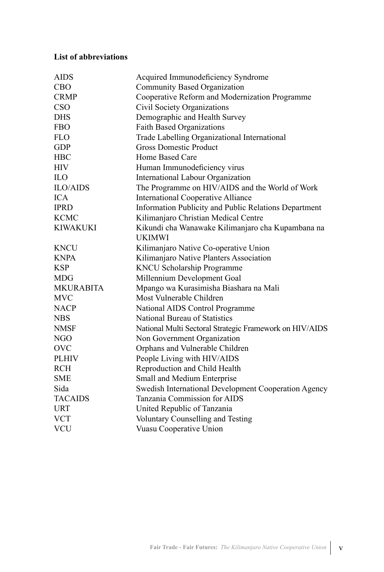# **List of abbreviations**

| <b>AIDS</b>      | Acquired Immunodeficiency Syndrome                      |
|------------------|---------------------------------------------------------|
| <b>CBO</b>       | <b>Community Based Organization</b>                     |
| <b>CRMP</b>      | Cooperative Reform and Modernization Programme          |
| CSO              | <b>Civil Society Organizations</b>                      |
| <b>DHS</b>       | Demographic and Health Survey                           |
| <b>FBO</b>       | <b>Faith Based Organizations</b>                        |
| <b>FLO</b>       | Trade Labelling Organizational International            |
| <b>GDP</b>       | <b>Gross Domestic Product</b>                           |
| <b>HBC</b>       | Home Based Care                                         |
| <b>HIV</b>       | Human Immunodeficiency virus                            |
| IL <sub>O</sub>  | International Labour Organization                       |
| <b>ILO/AIDS</b>  | The Programme on HIV/AIDS and the World of Work         |
| <b>ICA</b>       | <b>International Cooperative Alliance</b>               |
| <b>IPRD</b>      | Information Publicity and Public Relations Department   |
| <b>KCMC</b>      | Kilimanjaro Christian Medical Centre                    |
| <b>KIWAKUKI</b>  | Kikundi cha Wanawake Kilimanjaro cha Kupambana na       |
|                  | <b>UKIMWI</b>                                           |
| <b>KNCU</b>      | Kilimanjaro Native Co-operative Union                   |
| <b>KNPA</b>      | Kilimanjaro Native Planters Association                 |
| <b>KSP</b>       | <b>KNCU Scholarship Programme</b>                       |
| <b>MDG</b>       | Millennium Development Goal                             |
| <b>MKURABITA</b> | Mpango wa Kurasimisha Biashara na Mali                  |
| <b>MVC</b>       | Most Vulnerable Children                                |
| <b>NACP</b>      | National AIDS Control Programme                         |
| <b>NBS</b>       | National Bureau of Statistics                           |
| <b>NMSF</b>      | National Multi Sectoral Strategic Framework on HIV/AIDS |
| NGO              | Non Government Organization                             |
| <b>OVC</b>       | Orphans and Vulnerable Children                         |
| <b>PLHIV</b>     | People Living with HIV/AIDS                             |
| <b>RCH</b>       | Reproduction and Child Health                           |
| <b>SME</b>       | Small and Medium Enterprise                             |
| Sida             | Swedish International Development Cooperation Agency    |
| <b>TACAIDS</b>   | Tanzania Commission for AIDS                            |
| <b>URT</b>       | United Republic of Tanzania                             |
| <b>VCT</b>       | <b>Voluntary Counselling and Testing</b>                |
| <b>VCU</b>       | Vuasu Cooperative Union                                 |
|                  |                                                         |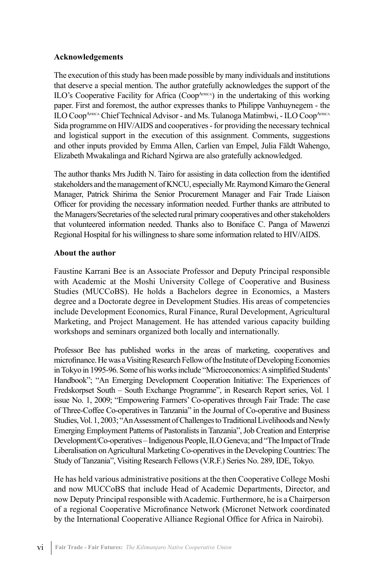#### **Acknowledgements**

The execution of this study has been made possible by many individuals and institutions that deserve a special mention. The author gratefully acknowledges the support of the ILO's Cooperative Facility for Africa (Coop $A$ <sub>FRICA</sub>) in the undertaking of this working paper. First and foremost, the author expresses thanks to Philippe Vanhuynegem - the ILO Coop<sup>AFRICA</sup> Chief Technical Advisor - and Ms. Tulanoga Matimbwi, - ILO Coop<sup>AFRIC</sup> Sida programme on HIV/AIDS and cooperatives - for providing the necessary technical and logistical support in the execution of this assignment. Comments, suggestions and other inputs provided by Emma Allen, Carlien van Empel, Julia Fäldt Wahengo, Elizabeth Mwakalinga and Richard Ngirwa are also gratefully acknowledged.

The author thanks Mrs Judith N. Tairo for assisting in data collection from the identified stakeholders and the management of KNCU, especially Mr. Raymond Kimaro the General Manager, Patrick Shirima the Senior Procurement Manager and Fair Trade Liaison Officer for providing the necessary information needed. Further thanks are attributed to the Managers/Secretaries of the selected rural primary cooperatives and other stakeholders that volunteered information needed. Thanks also to Boniface C. Panga of Mawenzi Regional Hospital for his willingness to share some information related to HIV/AIDS.

#### **About the author**

Faustine Karrani Bee is an Associate Professor and Deputy Principal responsible with Academic at the Moshi University College of Cooperative and Business Studies (MUCCoBS). He holds a Bachelors degree in Economics, a Masters degree and a Doctorate degree in Development Studies. His areas of competencies include Development Economics, Rural Finance, Rural Development, Agricultural Marketing, and Project Management. He has attended various capacity building workshops and seminars organized both locally and internationally.

Professor Bee has published works in the areas of marketing, cooperatives and microfinance. He was a Visiting Research Fellow of the Institute of Developing Economies in Tokyo in 1995-96. Some of his works include "Microeconomics: A simplified Students' Handbook"; "An Emerging Development Cooperation Initiative: The Experiences of Fredskorpset South – South Exchange Programme", in Research Report series, Vol. 1 issue No. 1, 2009; "Empowering Farmers' Co-operatives through Fair Trade: The case of Three-Coffee Co-operatives in Tanzania" in the Journal of Co-operative and Business Studies, Vol. 1, 2003; "An Assessment of Challenges to Traditional Livelihoods and Newly Emerging Employment Patterns of Pastoralists in Tanzania", Job Creation and Enterprise Development/Co-operatives – Indigenous People, ILO Geneva; and "The Impact of Trade Liberalisation on Agricultural Marketing Co-operatives in the Developing Countries: The Study of Tanzania", Visiting Research Fellows (V.R.F.) Series No. 289, IDE, Tokyo.

He has held various administrative positions at the then Cooperative College Moshi and now MUCCoBS that include Head of Academic Departments, Director, and now Deputy Principal responsible with Academic. Furthermore, he is a Chairperson of a regional Cooperative Microfinance Network (Micronet Network coordinated by the International Cooperative Alliance Regional Office for Africa in Nairobi).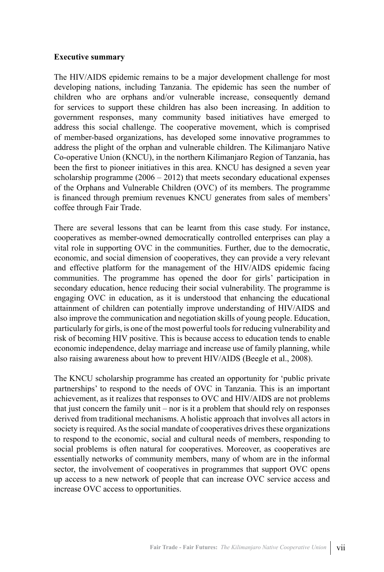#### **Executive summary**

The HIV/AIDS epidemic remains to be a major development challenge for most developing nations, including Tanzania. The epidemic has seen the number of children who are orphans and/or vulnerable increase, consequently demand for services to support these children has also been increasing. In addition to government responses, many community based initiatives have emerged to address this social challenge. The cooperative movement, which is comprised of member-based organizations, has developed some innovative programmes to address the plight of the orphan and vulnerable children. The Kilimanjaro Native Co-operative Union (KNCU), in the northern Kilimanjaro Region of Tanzania, has been the first to pioneer initiatives in this area. KNCU has designed a seven year scholarship programme  $(2006 - 2012)$  that meets secondary educational expenses of the Orphans and Vulnerable Children (OVC) of its members. The programme is financed through premium revenues KNCU generates from sales of members' coffee through Fair Trade.

There are several lessons that can be learnt from this case study. For instance, cooperatives as member-owned democratically controlled enterprises can play a vital role in supporting OVC in the communities. Further, due to the democratic, economic, and social dimension of cooperatives, they can provide a very relevant and effective platform for the management of the HIV/AIDS epidemic facing communities. The programme has opened the door for girls' participation in secondary education, hence reducing their social vulnerability. The programme is engaging OVC in education, as it is understood that enhancing the educational attainment of children can potentially improve understanding of HIV/AIDS and also improve the communication and negotiation skills of young people. Education, particularly for girls, is one of the most powerful tools for reducing vulnerability and risk of becoming HIV positive. This is because access to education tends to enable economic independence, delay marriage and increase use of family planning, while also raising awareness about how to prevent HIV/AIDS (Beegle et al., 2008).

The KNCU scholarship programme has created an opportunity for 'public private partnerships' to respond to the needs of OVC in Tanzania. This is an important achievement, as it realizes that responses to OVC and HIV/AIDS are not problems that just concern the family unit – nor is it a problem that should rely on responses derived from traditional mechanisms. A holistic approach that involves all actors in society is required. As the social mandate of cooperatives drives these organizations to respond to the economic, social and cultural needs of members, responding to social problems is often natural for cooperatives. Moreover, as cooperatives are essentially networks of community members, many of whom are in the informal sector, the involvement of cooperatives in programmes that support OVC opens up access to a new network of people that can increase OVC service access and increase OVC access to opportunities.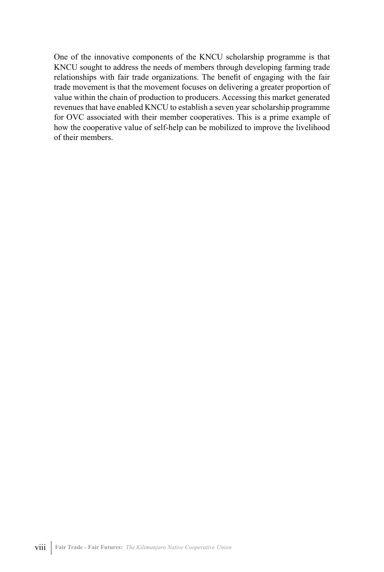One of the innovative components of the KNCU scholarship programme is that KNCU sought to address the needs of members through developing farming trade relationships with fair trade organizations. The benefit of engaging with the fair trade movement is that the movement focuses on delivering a greater proportion of value within the chain of production to producers. Accessing this market generated revenues that have enabled KNCU to establish a seven year scholarship programme for OVC associated with their member cooperatives. This is a prime example of how the cooperative value of self-help can be mobilized to improve the livelihood of their members.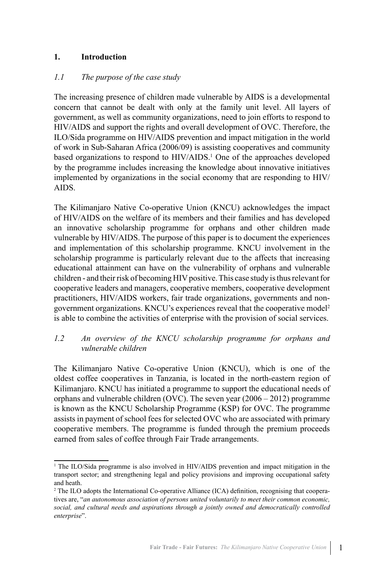#### **1. Introduction**

#### *1.1 The purpose of the case study*

The increasing presence of children made vulnerable by AIDS is a developmental concern that cannot be dealt with only at the family unit level. All layers of government, as well as community organizations, need to join efforts to respond to HIV/AIDS and support the rights and overall development of OVC. Therefore, the ILO/Sida programme on HIV/AIDS prevention and impact mitigation in the world of work in Sub-Saharan Africa (2006/09) is assisting cooperatives and community based organizations to respond to HIV/AIDS.<sup>1</sup> One of the approaches developed by the programme includes increasing the knowledge about innovative initiatives implemented by organizations in the social economy that are responding to HIV/ AIDS.

The Kilimanjaro Native Co-operative Union (KNCU) acknowledges the impact of HIV/AIDS on the welfare of its members and their families and has developed an innovative scholarship programme for orphans and other children made vulnerable by HIV/AIDS. The purpose of this paper is to document the experiences and implementation of this scholarship programme. KNCU involvement in the scholarship programme is particularly relevant due to the affects that increasing educational attainment can have on the vulnerability of orphans and vulnerable children - and their risk of becoming HIV positive. This case study is thus relevant for cooperative leaders and managers, cooperative members, cooperative development practitioners, HIV/AIDS workers, fair trade organizations, governments and nongovernment organizations. KNCU's experiences reveal that the cooperative model2 is able to combine the activities of enterprise with the provision of social services.

#### *1.2 An overview of the KNCU scholarship programme for orphans and vulnerable children*

The Kilimanjaro Native Co-operative Union (KNCU), which is one of the oldest coffee cooperatives in Tanzania, is located in the north-eastern region of Kilimanjaro. KNCU has initiated a programme to support the educational needs of orphans and vulnerable children (OVC). The seven year (2006 – 2012) programme is known as the KNCU Scholarship Programme (KSP) for OVC. The programme assists in payment of school fees for selected OVC who are associated with primary cooperative members. The programme is funded through the premium proceeds earned from sales of coffee through Fair Trade arrangements.

<sup>1</sup> The ILO/Sida programme is also involved in HIV/AIDS prevention and impact mitigation in the transport sector; and strengthening legal and policy provisions and improving occupational safety and heath.

<sup>2</sup> The ILO adopts the International Co-operative Alliance (ICA) definition, recognising that cooperatives are, "*an autonomous association of persons united voluntarily to meet their common economic, social, and cultural needs and aspirations through a jointly owned and democratically controlled enterprise*".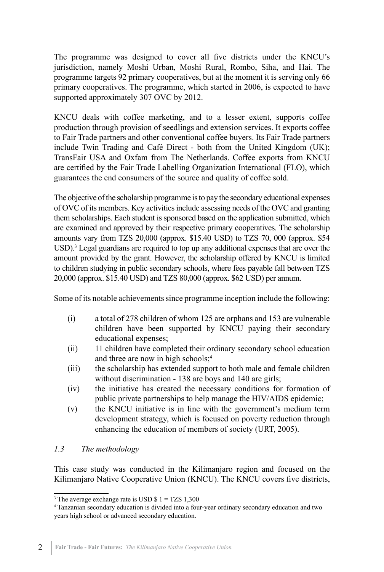The programme was designed to cover all five districts under the KNCU's jurisdiction, namely Moshi Urban, Moshi Rural, Rombo, Siha, and Hai. The programme targets 92 primary cooperatives, but at the moment it is serving only 66 primary cooperatives. The programme, which started in 2006, is expected to have supported approximately 307 OVC by 2012.

KNCU deals with coffee marketing, and to a lesser extent, supports coffee production through provision of seedlings and extension services. It exports coffee to Fair Trade partners and other conventional coffee buyers. Its Fair Trade partners include Twin Trading and Café Direct - both from the United Kingdom (UK); TransFair USA and Oxfam from The Netherlands. Coffee exports from KNCU are certified by the Fair Trade Labelling Organization International (FLO), which guarantees the end consumers of the source and quality of coffee sold.

The objective of the scholarship programme is to pay the secondary educational expenses of OVC of its members. Key activities include assessing needs of the OVC and granting them scholarships. Each student is sponsored based on the application submitted, which are examined and approved by their respective primary cooperatives. The scholarship amounts vary from TZS 20,000 (approx. \$15.40 USD) to TZS 70, 000 (approx. \$54 USD).<sup>3</sup> Legal guardians are required to top up any additional expenses that are over the amount provided by the grant. However, the scholarship offered by KNCU is limited to children studying in public secondary schools, where fees payable fall between TZS 20,000 (approx. \$15.40 USD) and TZS 80,000 (approx. \$62 USD) per annum.

Some of its notable achievements since programme inception include the following:

- (i) a total of 278 children of whom 125 are orphans and 153 are vulnerable children have been supported by KNCU paying their secondary educational expenses;
- (ii) 11 children have completed their ordinary secondary school education and three are now in high schools;<sup>4</sup>
- (iii) the scholarship has extended support to both male and female children without discrimination - 138 are boys and 140 are girls;
- (iv) the initiative has created the necessary conditions for formation of public private partnerships to help manage the HIV/AIDS epidemic;
- (v) the KNCU initiative is in line with the government's medium term development strategy, which is focused on poverty reduction through enhancing the education of members of society (URT, 2005).

#### *1.3 The methodology*

This case study was conducted in the Kilimanjaro region and focused on the Kilimanjaro Native Cooperative Union (KNCU). The KNCU covers five districts,

<sup>&</sup>lt;sup>3</sup> The average exchange rate is USD \$ 1 = TZS 1,300

<sup>4</sup> Tanzanian secondary education is divided into a four-year ordinary secondary education and two years high school or advanced secondary education.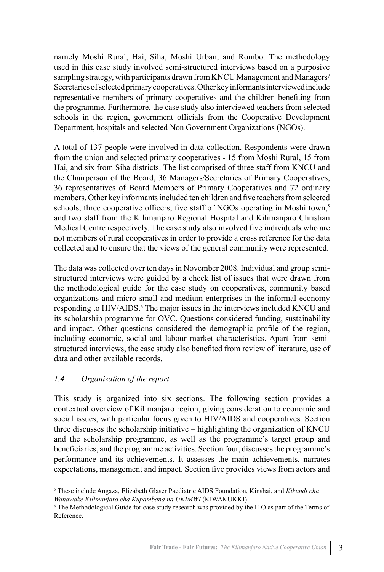namely Moshi Rural, Hai, Siha, Moshi Urban, and Rombo. The methodology used in this case study involved semi-structured interviews based on a purposive sampling strategy, with participants drawn from KNCU Management and Managers/ Secretaries of selected primary cooperatives. Other key informants interviewed include representative members of primary cooperatives and the children benefiting from the programme. Furthermore, the case study also interviewed teachers from selected schools in the region, government officials from the Cooperative Development Department, hospitals and selected Non Government Organizations (NGOs).

A total of 137 people were involved in data collection. Respondents were drawn from the union and selected primary cooperatives - 15 from Moshi Rural, 15 from Hai, and six from Siha districts. The list comprised of three staff from KNCU and the Chairperson of the Board, 36 Managers/Secretaries of Primary Cooperatives, 36 representatives of Board Members of Primary Cooperatives and 72 ordinary members. Other key informants included ten children and five teachers from selected schools, three cooperative officers, five staff of NGOs operating in Moshi town.<sup>5</sup> and two staff from the Kilimanjaro Regional Hospital and Kilimanjaro Christian Medical Centre respectively. The case study also involved five individuals who are not members of rural cooperatives in order to provide a cross reference for the data collected and to ensure that the views of the general community were represented.

The data was collected over ten days in November 2008. Individual and group semistructured interviews were guided by a check list of issues that were drawn from the methodological guide for the case study on cooperatives, community based organizations and micro small and medium enterprises in the informal economy responding to HIV/AIDS.<sup>6</sup> The major issues in the interviews included KNCU and its scholarship programme for OVC. Questions considered funding, sustainability and impact. Other questions considered the demographic profile of the region, including economic, social and labour market characteristics. Apart from semistructured interviews, the case study also benefited from review of literature, use of data and other available records.

#### *1.4 Organization of the report*

This study is organized into six sections. The following section provides a contextual overview of Kilimanjaro region, giving consideration to economic and social issues, with particular focus given to HIV/AIDS and cooperatives. Section three discusses the scholarship initiative – highlighting the organization of KNCU and the scholarship programme, as well as the programme's target group and beneficiaries, and the programme activities. Section four, discusses the programme's performance and its achievements. It assesses the main achievements, narrates expectations, management and impact. Section five provides views from actors and

<sup>5</sup> These include Angaza, Elizabeth Glaser Paediatric AIDS Foundation, Kinshai, and *Kikundi cha Wanawake Kilimanjaro cha Kupambana na UKIMWI* (KIWAKUKKI)

<sup>6</sup> The Methodological Guide for case study research was provided by the ILO as part of the Terms of Reference.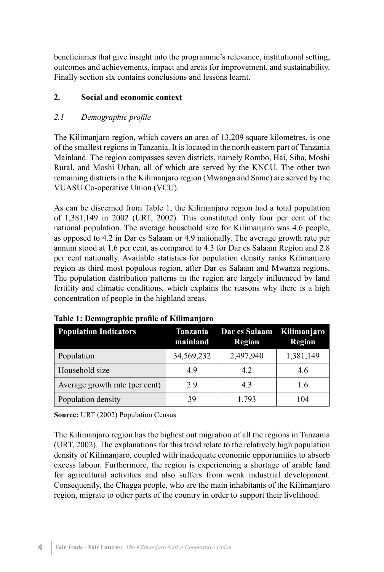beneficiaries that give insight into the programme's relevance, institutional setting, outcomes and achievements, impact and areas for improvement, and sustainability. Finally section six contains conclusions and lessons learnt.

## **2. Social and economic context**

# *2.1 Demographic profile*

The Kilimanjaro region, which covers an area of 13,209 square kilometres, is one of the smallest regions in Tanzania. It is located in the north eastern part of Tanzania Mainland. The region compasses seven districts, namely Rombo, Hai, Siha, Moshi Rural, and Moshi Urban, all of which are served by the KNCU. The other two remaining districts in the Kilimanjaro region (Mwanga and Same) are served by the VUASU Co-operative Union (VCU).

As can be discerned from Table 1, the Kilimanjaro region had a total population of 1,381,149 in 2002 (URT, 2002). This constituted only four per cent of the national population. The average household size for Kilimanjaro was 4.6 people, as opposed to 4.2 in Dar es Salaam or 4.9 nationally. The average growth rate per annum stood at 1.6 per cent, as compared to 4.3 for Dar es Salaam Region and 2.8 per cent nationally. Available statistics for population density ranks Kilimanjaro region as third most populous region, after Dar es Salaam and Mwanza regions. The population distribution patterns in the region are largely influenced by land fertility and climatic conditions, which explains the reasons why there is a high concentration of people in the highland areas.

| <b>Population Indicators</b>   | Tanzania<br>mainland | Dar es Salaam Kilimanjaro<br><b>Region</b> | <b>Region</b> |  |
|--------------------------------|----------------------|--------------------------------------------|---------------|--|
| Population                     | 34,569,232           | 2,497,940                                  | 1,381,149     |  |
| Household size                 | 49                   | 4.2                                        | 4.6           |  |
| Average growth rate (per cent) | 29                   | 43                                         | 1.6           |  |
| Population density             | 39                   | 1,793                                      | 104           |  |

# **Table 1: Demographic profile of Kilimanjaro**

**Source:** URT (2002) Population Census

The Kilimanjaro region has the highest out migration of all the regions in Tanzania (URT, 2002). The explanations for this trend relate to the relatively high population density of Kilimanjaro, coupled with inadequate economic opportunities to absorb excess labour. Furthermore, the region is experiencing a shortage of arable land for agricultural activities and also suffers from weak industrial development. Consequently, the Chagga people, who are the main inhabitants of the Kilimanjaro region, migrate to other parts of the country in order to support their livelihood.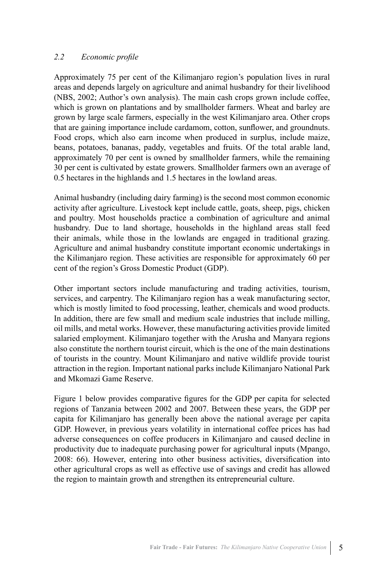#### *2.2 Economic profile*

Approximately 75 per cent of the Kilimanjaro region's population lives in rural areas and depends largely on agriculture and animal husbandry for their livelihood (NBS, 2002; Author's own analysis). The main cash crops grown include coffee, which is grown on plantations and by smallholder farmers. Wheat and barley are grown by large scale farmers, especially in the west Kilimanjaro area. Other crops that are gaining importance include cardamom, cotton, sunflower, and groundnuts. Food crops, which also earn income when produced in surplus, include maize, beans, potatoes, bananas, paddy, vegetables and fruits. Of the total arable land, approximately 70 per cent is owned by smallholder farmers, while the remaining 30 per cent is cultivated by estate growers. Smallholder farmers own an average of 0.5 hectares in the highlands and 1.5 hectares in the lowland areas.

Animal husbandry (including dairy farming) is the second most common economic activity after agriculture. Livestock kept include cattle, goats, sheep, pigs, chicken and poultry. Most households practice a combination of agriculture and animal husbandry. Due to land shortage, households in the highland areas stall feed their animals, while those in the lowlands are engaged in traditional grazing. Agriculture and animal husbandry constitute important economic undertakings in the Kilimanjaro region. These activities are responsible for approximately 60 per cent of the region's Gross Domestic Product (GDP).

Other important sectors include manufacturing and trading activities, tourism, services, and carpentry. The Kilimanjaro region has a weak manufacturing sector, which is mostly limited to food processing, leather, chemicals and wood products. In addition, there are few small and medium scale industries that include milling, oil mills, and metal works. However, these manufacturing activities provide limited salaried employment. Kilimanjaro together with the Arusha and Manyara regions also constitute the northern tourist circuit, which is the one of the main destinations of tourists in the country. Mount Kilimanjaro and native wildlife provide tourist attraction in the region. Important national parks include Kilimanjaro National Park and Mkomazi Game Reserve.

Figure 1 below provides comparative figures for the GDP per capita for selected regions of Tanzania between 2002 and 2007. Between these years, the GDP per capita for Kilimanjaro has generally been above the national average per capita GDP. However, in previous years volatility in international coffee prices has had adverse consequences on coffee producers in Kilimanjaro and caused decline in productivity due to inadequate purchasing power for agricultural inputs (Mpango, 2008: 66). However, entering into other business activities, diversification into other agricultural crops as well as effective use of savings and credit has allowed the region to maintain growth and strengthen its entrepreneurial culture.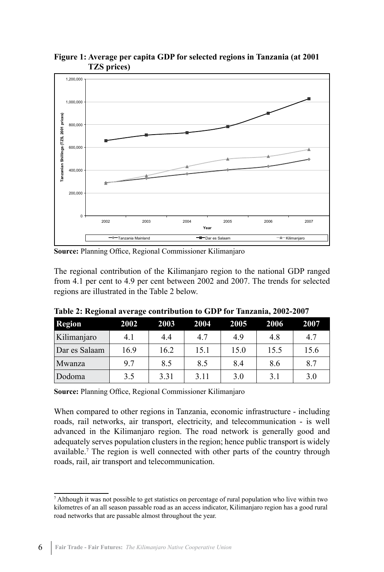

**Figure 1: Average per capita GDP for selected regions in Tanzania (at 2001 TZS prices)**

**Source:** Planning Office, Regional Commissioner Kilimanjaro

The regional contribution of the Kilimanjaro region to the national GDP ranged from 4.1 per cent to 4.9 per cent between 2002 and 2007. The trends for selected regions are illustrated in the Table 2 below.

| <b>Region</b> | 2002 | 2003 | 2004 | 2005 | 2006 | 2007 |
|---------------|------|------|------|------|------|------|
| Kilimanjaro   | 4.1  | 4.4  | 4.7  | 4.9  | 4.8  | 4.7  |
| Dar es Salaam | 16.9 | 16.2 | 15.1 | 15.0 | 15.5 | 15.6 |
| Mwanza        | 97   | 8.5  | 8.5  | 8.4  | 8.6  | 8.7  |
| Dodoma        | 3.5  | 3.31 | 3.11 | 3.0  | 3.1  | 3.0  |

**Table 2: Regional average contribution to GDP for Tanzania, 2002-2007**

**Source:** Planning Office, Regional Commissioner Kilimanjaro

When compared to other regions in Tanzania, economic infrastructure - including roads, rail networks, air transport, electricity, and telecommunication - is well advanced in the Kilimanjaro region. The road network is generally good and adequately serves population clusters in the region; hence public transport is widely available.<sup>7</sup> The region is well connected with other parts of the country through roads, rail, air transport and telecommunication.

<sup>7</sup> Although it was not possible to get statistics on percentage of rural population who live within two kilometres of an all season passable road as an access indicator, Kilimanjaro region has a good rural road networks that are passable almost throughout the year.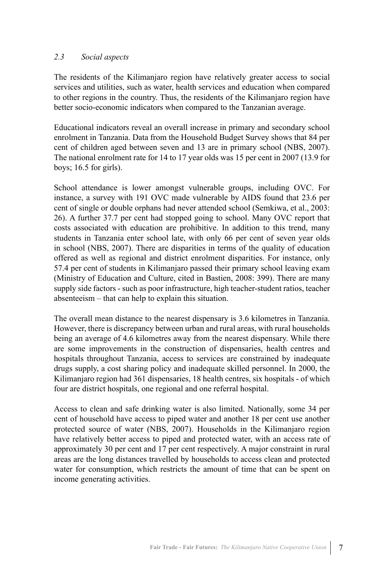#### *2.3 Social aspects*

The residents of the Kilimanjaro region have relatively greater access to social services and utilities, such as water, health services and education when compared to other regions in the country. Thus, the residents of the Kilimanjaro region have better socio-economic indicators when compared to the Tanzanian average.

Educational indicators reveal an overall increase in primary and secondary school enrolment in Tanzania. Data from the Household Budget Survey shows that 84 per cent of children aged between seven and 13 are in primary school (NBS, 2007). The national enrolment rate for 14 to 17 year olds was 15 per cent in 2007 (13.9 for boys; 16.5 for girls).

School attendance is lower amongst vulnerable groups, including OVC. For instance, a survey with 191 OVC made vulnerable by AIDS found that 23.6 per cent of single or double orphans had never attended school (Semkiwa, et al., 2003: 26). A further 37.7 per cent had stopped going to school. Many OVC report that costs associated with education are prohibitive. In addition to this trend, many students in Tanzania enter school late, with only 66 per cent of seven year olds in school (NBS, 2007). There are disparities in terms of the quality of education offered as well as regional and district enrolment disparities. For instance, only 57.4 per cent of students in Kilimanjaro passed their primary school leaving exam (Ministry of Education and Culture, cited in Bastien, 2008: 399). There are many supply side factors - such as poor infrastructure, high teacher-student ratios, teacher absenteeism – that can help to explain this situation.

The overall mean distance to the nearest dispensary is 3.6 kilometres in Tanzania. However, there is discrepancy between urban and rural areas, with rural households being an average of 4.6 kilometres away from the nearest dispensary. While there are some improvements in the construction of dispensaries, health centres and hospitals throughout Tanzania, access to services are constrained by inadequate drugs supply, a cost sharing policy and inadequate skilled personnel. In 2000, the Kilimanjaro region had 361 dispensaries, 18 health centres, six hospitals - of which four are district hospitals, one regional and one referral hospital.

Access to clean and safe drinking water is also limited. Nationally, some 34 per cent of household have access to piped water and another 18 per cent use another protected source of water (NBS, 2007). Households in the Kilimanjaro region have relatively better access to piped and protected water, with an access rate of approximately 30 per cent and 17 per cent respectively. A major constraint in rural areas are the long distances travelled by households to access clean and protected water for consumption, which restricts the amount of time that can be spent on income generating activities.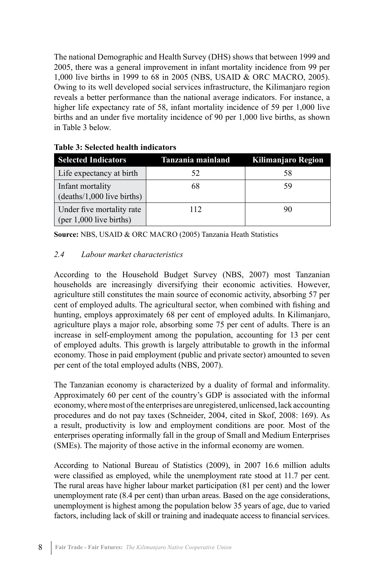The national Demographic and Health Survey (DHS) shows that between 1999 and 2005, there was a general improvement in infant mortality incidence from 99 per 1,000 live births in 1999 to 68 in 2005 (NBS, USAID & ORC MACRO, 2005). Owing to its well developed social services infrastructure, the Kilimanjaro region reveals a better performance than the national average indicators. For instance, a higher life expectancy rate of 58, infant mortality incidence of 59 per 1,000 live births and an under five mortality incidence of 90 per 1,000 live births, as shown in Table 3 below.

| <b>Selected Indicators</b>                             | Tanzania mainland | <b>Kilimanjaro Region</b> |  |
|--------------------------------------------------------|-------------------|---------------------------|--|
| Life expectancy at birth                               | 52                | 58                        |  |
| Infant mortality<br>$(deaths/1,000$ live births)       | 68                | 59                        |  |
| Under five mortality rate<br>$(per 1,000$ live births) | 112               | 90                        |  |

**Table 3: Selected health indicators**

**Source:** NBS, USAID & ORC MACRO (2005) Tanzania Heath Statistics

#### *2.4 Labour market characteristics*

According to the Household Budget Survey (NBS, 2007) most Tanzanian households are increasingly diversifying their economic activities. However, agriculture still constitutes the main source of economic activity, absorbing 57 per cent of employed adults. The agricultural sector, when combined with fishing and hunting, employs approximately 68 per cent of employed adults. In Kilimanjaro, agriculture plays a major role, absorbing some 75 per cent of adults. There is an increase in self-employment among the population, accounting for 13 per cent of employed adults. This growth is largely attributable to growth in the informal economy. Those in paid employment (public and private sector) amounted to seven per cent of the total employed adults (NBS, 2007).

The Tanzanian economy is characterized by a duality of formal and informality. Approximately 60 per cent of the country's GDP is associated with the informal economy, where most of the enterprises are unregistered, unlicensed, lack accounting procedures and do not pay taxes (Schneider, 2004, cited in Skof, 2008: 169). As a result, productivity is low and employment conditions are poor. Most of the enterprises operating informally fall in the group of Small and Medium Enterprises (SMEs). The majority of those active in the informal economy are women.

According to National Bureau of Statistics (2009), in 2007 16.6 million adults were classified as employed, while the unemployment rate stood at 11.7 per cent. The rural areas have higher labour market participation (81 per cent) and the lower unemployment rate (8.4 per cent) than urban areas. Based on the age considerations, unemployment is highest among the population below 35 years of age, due to varied factors, including lack of skill or training and inadequate access to financial services.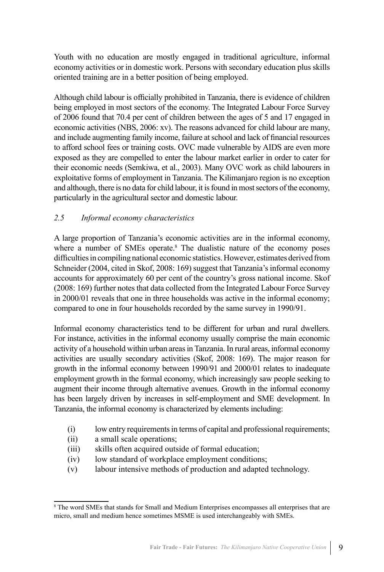Youth with no education are mostly engaged in traditional agriculture, informal economy activities or in domestic work. Persons with secondary education plus skills oriented training are in a better position of being employed.

Although child labour is officially prohibited in Tanzania, there is evidence of children being employed in most sectors of the economy. The Integrated Labour Force Survey of 2006 found that 70.4 per cent of children between the ages of 5 and 17 engaged in economic activities (NBS, 2006: xv). The reasons advanced for child labour are many, and include augmenting family income, failure at school and lack of financial resources to afford school fees or training costs. OVC made vulnerable by AIDS are even more exposed as they are compelled to enter the labour market earlier in order to cater for their economic needs (Semkiwa, et al., 2003). Many OVC work as child labourers in exploitative forms of employment in Tanzania. The Kilimanjaro region is no exception and although, there is no data for child labour, it is found in most sectors of the economy, particularly in the agricultural sector and domestic labour.

# *2.5 Informal economy characteristics*

A large proportion of Tanzania's economic activities are in the informal economy, where a number of SMEs operate.<sup>8</sup> The dualistic nature of the economy poses difficulties in compiling national economic statistics. However, estimates derived from Schneider (2004, cited in Skof, 2008: 169) suggest that Tanzania's informal economy accounts for approximately 60 per cent of the country's gross national income. Skof (2008: 169) further notes that data collected from the Integrated Labour Force Survey in 2000/01 reveals that one in three households was active in the informal economy; compared to one in four households recorded by the same survey in 1990/91.

Informal economy characteristics tend to be different for urban and rural dwellers. For instance, activities in the informal economy usually comprise the main economic activity of a household within urban areas in Tanzania. In rural areas, informal economy activities are usually secondary activities (Skof, 2008: 169). The major reason for growth in the informal economy between 1990/91 and 2000/01 relates to inadequate employment growth in the formal economy, which increasingly saw people seeking to augment their income through alternative avenues. Growth in the informal economy has been largely driven by increases in self-employment and SME development. In Tanzania, the informal economy is characterized by elements including:

- (i) low entry requirements in terms of capital and professional requirements;
- (ii) a small scale operations;
- (iii) skills often acquired outside of formal education;
- (iv) low standard of workplace employment conditions;
- (v) labour intensive methods of production and adapted technology.

<sup>8</sup> The word SMEs that stands for Small and Medium Enterprises encompasses all enterprises that are micro, small and medium hence sometimes MSME is used interchangeably with SMEs.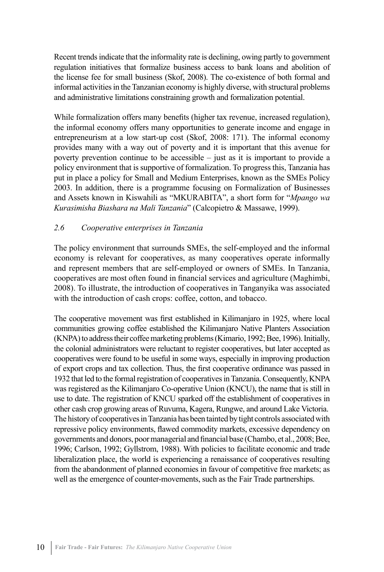Recent trends indicate that the informality rate is declining, owing partly to government regulation initiatives that formalize business access to bank loans and abolition of the license fee for small business (Skof, 2008). The co-existence of both formal and informal activities in the Tanzanian economy is highly diverse, with structural problems and administrative limitations constraining growth and formalization potential.

While formalization offers many benefits (higher tax revenue, increased regulation), the informal economy offers many opportunities to generate income and engage in entrepreneurism at a low start-up cost (Skof, 2008: 171). The informal economy provides many with a way out of poverty and it is important that this avenue for poverty prevention continue to be accessible – just as it is important to provide a policy environment that is supportive of formalization. To progress this, Tanzania has put in place a policy for Small and Medium Enterprises, known as the SMEs Policy 2003. In addition, there is a programme focusing on Formalization of Businesses and Assets known in Kiswahili as "MKURABITA", a short form for "*Mpango wa Kurasimisha Biashara na Mali Tanzania*" (Calcopietro & Massawe, 1999).

#### *2.6 Cooperative enterprises in Tanzania*

The policy environment that surrounds SMEs, the self-employed and the informal economy is relevant for cooperatives, as many cooperatives operate informally and represent members that are self-employed or owners of SMEs. In Tanzania, cooperatives are most often found in financial services and agriculture (Maghimbi, 2008). To illustrate, the introduction of cooperatives in Tanganyika was associated with the introduction of cash crops: coffee, cotton, and tobacco.

The cooperative movement was first established in Kilimanjaro in 1925, where local communities growing coffee established the Kilimanjaro Native Planters Association (KNPA) to address their coffee marketing problems (Kimario, 1992; Bee, 1996). Initially, the colonial administrators were reluctant to register cooperatives, but later accepted as cooperatives were found to be useful in some ways, especially in improving production of export crops and tax collection. Thus, the first cooperative ordinance was passed in 1932 that led to the formal registration of cooperatives in Tanzania. Consequently, KNPA was registered as the Kilimanjaro Co-operative Union (KNCU), the name that is still in use to date. The registration of KNCU sparked off the establishment of cooperatives in other cash crop growing areas of Ruvuma, Kagera, Rungwe, and around Lake Victoria. The history of cooperatives in Tanzania has been tainted by tight controls associated with repressive policy environments, flawed commodity markets, excessive dependency on governments and donors, poor managerial and financial base (Chambo, et al., 2008; Bee, 1996; Carlson, 1992; Gyllstrom, 1988). With policies to facilitate economic and trade liberalization place, the world is experiencing a renaissance of cooperatives resulting from the abandonment of planned economies in favour of competitive free markets; as well as the emergence of counter-movements, such as the Fair Trade partnerships.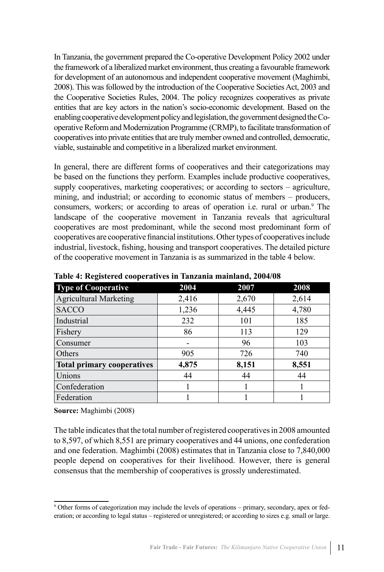In Tanzania, the government prepared the Co-operative Development Policy 2002 under the framework of a liberalized market environment, thus creating a favourable framework for development of an autonomous and independent cooperative movement (Maghimbi, 2008). This was followed by the introduction of the Cooperative Societies Act, 2003 and the Cooperative Societies Rules, 2004. The policy recognizes cooperatives as private entities that are key actors in the nation's socio-economic development. Based on the enabling cooperative development policy and legislation, the government designed the Cooperative Reform and Modernization Programme (CRMP), to facilitate transformation of cooperatives into private entities that are truly member owned and controlled, democratic, viable, sustainable and competitive in a liberalized market environment.

In general, there are different forms of cooperatives and their categorizations may be based on the functions they perform. Examples include productive cooperatives, supply cooperatives, marketing cooperatives; or according to sectors – agriculture, mining, and industrial; or according to economic status of members – producers, consumers, workers; or according to areas of operation i.e. rural or urban.<sup>9</sup> The landscape of the cooperative movement in Tanzania reveals that agricultural cooperatives are most predominant, while the second most predominant form of cooperatives are cooperative financial institutions. Other types of cooperatives include industrial, livestock, fishing, housing and transport cooperatives. The detailed picture of the cooperative movement in Tanzania is as summarized in the table 4 below.

| <b>Type of Cooperative</b>        | 2004  | 2007  | 2008  |
|-----------------------------------|-------|-------|-------|
| <b>Agricultural Marketing</b>     | 2,416 | 2,670 | 2,614 |
| <b>SACCO</b>                      | 1,236 | 4,445 | 4,780 |
| Industrial                        | 232   | 101   | 185   |
| Fishery                           | 86    | 113   | 129   |
| Consumer                          | -     | 96    | 103   |
| Others                            | 905   | 726   | 740   |
| <b>Total primary cooperatives</b> | 4,875 | 8,151 | 8,551 |
| Unions                            | 44    | 44    | 44    |
| Confederation                     |       |       |       |
| Federation                        |       |       |       |

**Table 4: Registered cooperatives in Tanzania mainland, 2004/08**

**Source:** Maghimbi (2008)

The table indicates that the total number of registered cooperatives in 2008 amounted to 8,597, of which 8,551 are primary cooperatives and 44 unions, one confederation and one federation. Maghimbi (2008) estimates that in Tanzania close to 7,840,000 people depend on cooperatives for their livelihood. However, there is general consensus that the membership of cooperatives is grossly underestimated.

<sup>9</sup> Other forms of categorization may include the levels of operations – primary, secondary, apex or federation; or according to legal status – registered or unregistered; or according to sizes e.g. small or large.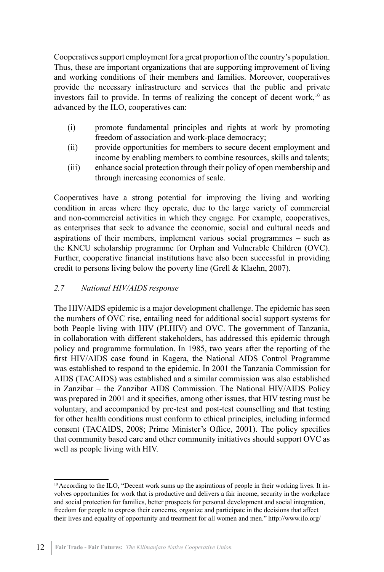Cooperatives support employment for a great proportion of the country's population. Thus, these are important organizations that are supporting improvement of living and working conditions of their members and families. Moreover, cooperatives provide the necessary infrastructure and services that the public and private investors fail to provide. In terms of realizing the concept of decent work, $10$  as advanced by the ILO, cooperatives can:

- (i) promote fundamental principles and rights at work by promoting freedom of association and work-place democracy;
- (ii) provide opportunities for members to secure decent employment and income by enabling members to combine resources, skills and talents;
- (iii) enhance social protection through their policy of open membership and through increasing economies of scale.

Cooperatives have a strong potential for improving the living and working condition in areas where they operate, due to the large variety of commercial and non-commercial activities in which they engage. For example, cooperatives, as enterprises that seek to advance the economic, social and cultural needs and aspirations of their members, implement various social programmes – such as the KNCU scholarship programme for Orphan and Vulnerable Children (OVC). Further, cooperative financial institutions have also been successful in providing credit to persons living below the poverty line (Grell & Klaehn, 2007).

#### *2.7 National HIV/AIDS response*

The HIV/AIDS epidemic is a major development challenge. The epidemic has seen the numbers of OVC rise, entailing need for additional social support systems for both People living with HIV (PLHIV) and OVC. The government of Tanzania, in collaboration with different stakeholders, has addressed this epidemic through policy and programme formulation. In 1985, two years after the reporting of the first HIV/AIDS case found in Kagera, the National AIDS Control Programme was established to respond to the epidemic. In 2001 the Tanzania Commission for AIDS (TACAIDS) was established and a similar commission was also established in Zanzibar – the Zanzibar AIDS Commission. The National HIV/AIDS Policy was prepared in 2001 and it specifies, among other issues, that HIV testing must be voluntary, and accompanied by pre-test and post-test counselling and that testing for other health conditions must conform to ethical principles, including informed consent (TACAIDS, 2008; Prime Minister's Office, 2001). The policy specifies that community based care and other community initiatives should support OVC as well as people living with HIV.

<sup>10</sup> According to the ILO, "Decent work sums up the aspirations of people in their working lives. It involves opportunities for work that is productive and delivers a fair income, security in the workplace and social protection for families, better prospects for personal development and social integration, freedom for people to express their concerns, organize and participate in the decisions that affect their lives and equality of opportunity and treatment for all women and men." http://www.ilo.org/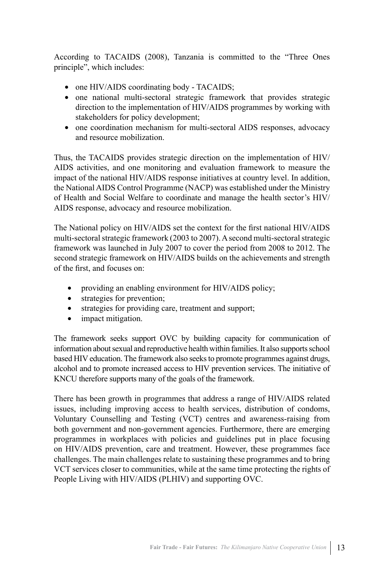According to TACAIDS (2008), Tanzania is committed to the "Three Ones principle", which includes:

- one HIV/AIDS coordinating body TACAIDS;
- one national multi-sectoral strategic framework that provides strategic direction to the implementation of HIV/AIDS programmes by working with stakeholders for policy development;
- one coordination mechanism for multi-sectoral AIDS responses, advocacy and resource mobilization.

Thus, the TACAIDS provides strategic direction on the implementation of HIV/ AIDS activities, and one monitoring and evaluation framework to measure the impact of the national HIV/AIDS response initiatives at country level. In addition, the National AIDS Control Programme (NACP) was established under the Ministry of Health and Social Welfare to coordinate and manage the health sector's HIV/ AIDS response, advocacy and resource mobilization.

The National policy on HIV/AIDS set the context for the first national HIV/AIDS multi-sectoral strategic framework (2003 to 2007). A second multi-sectoral strategic framework was launched in July 2007 to cover the period from 2008 to 2012. The second strategic framework on HIV/AIDS builds on the achievements and strength of the first, and focuses on:

- providing an enabling environment for HIV/AIDS policy;
- strategies for prevention;
- strategies for providing care, treatment and support;
- impact mitigation.

The framework seeks support OVC by building capacity for communication of information about sexual and reproductive health within families. It also supports school based HIV education. The framework also seeks to promote programmes against drugs, alcohol and to promote increased access to HIV prevention services. The initiative of KNCU therefore supports many of the goals of the framework.

There has been growth in programmes that address a range of HIV/AIDS related issues, including improving access to health services, distribution of condoms, Voluntary Counselling and Testing (VCT) centres and awareness-raising from both government and non-government agencies. Furthermore, there are emerging programmes in workplaces with policies and guidelines put in place focusing on HIV/AIDS prevention, care and treatment. However, these programmes face challenges. The main challenges relate to sustaining these programmes and to bring VCT services closer to communities, while at the same time protecting the rights of People Living with HIV/AIDS (PLHIV) and supporting OVC.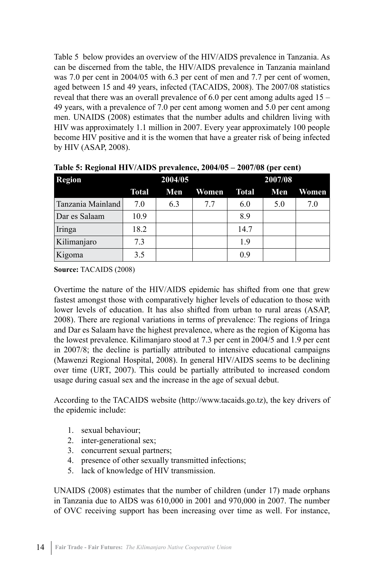Table 5 below provides an overview of the HIV/AIDS prevalence in Tanzania. As can be discerned from the table, the HIV/AIDS prevalence in Tanzania mainland was 7.0 per cent in 2004/05 with 6.3 per cent of men and 7.7 per cent of women, aged between 15 and 49 years, infected (TACAIDS, 2008). The 2007/08 statistics reveal that there was an overall prevalence of 6.0 per cent among adults aged 15 – 49 years, with a prevalence of 7.0 per cent among women and 5.0 per cent among men. UNAIDS (2008) estimates that the number adults and children living with HIV was approximately 1.1 million in 2007. Every year approximately 100 people become HIV positive and it is the women that have a greater risk of being infected by HIV (ASAP, 2008).

| <b>Region</b>     | 2004/05      |     |       | 2007/08 |     |       |  |
|-------------------|--------------|-----|-------|---------|-----|-------|--|
|                   | <b>Total</b> | Men | Women | Total   | Men | Women |  |
| Tanzania Mainland | 7.0          | 6.3 | 7.7   | 6.0     | 5.0 | 7.0   |  |
| Dar es Salaam     | 10.9         |     |       | 8.9     |     |       |  |
| Iringa            | 18.2         |     |       | 14.7    |     |       |  |
| Kilimanjaro       | 7.3          |     |       | 1.9     |     |       |  |
| Kigoma            | 3.5          |     |       | 0.9     |     |       |  |

**Table 5: Regional HIV/AIDS prevalence, 2004/05 – 2007/08 (per cent)**

**Source:** TACAIDS (2008)

Overtime the nature of the HIV/AIDS epidemic has shifted from one that grew fastest amongst those with comparatively higher levels of education to those with lower levels of education. It has also shifted from urban to rural areas (ASAP, 2008). There are regional variations in terms of prevalence: The regions of Iringa and Dar es Salaam have the highest prevalence, where as the region of Kigoma has the lowest prevalence. Kilimanjaro stood at 7.3 per cent in 2004/5 and 1.9 per cent in 2007/8; the decline is partially attributed to intensive educational campaigns (Mawenzi Regional Hospital, 2008). In general HIV/AIDS seems to be declining over time (URT, 2007). This could be partially attributed to increased condom usage during casual sex and the increase in the age of sexual debut.

According to the TACAIDS website (http://www.tacaids.go.tz), the key drivers of the epidemic include:

- 1. sexual behaviour;
- 2. inter-generational sex;
- 3. concurrent sexual partners;
- 4. presence of other sexually transmitted infections;
- 5. lack of knowledge of HIV transmission.

UNAIDS (2008) estimates that the number of children (under 17) made orphans in Tanzania due to AIDS was 610,000 in 2001 and 970,000 in 2007. The number of OVC receiving support has been increasing over time as well. For instance,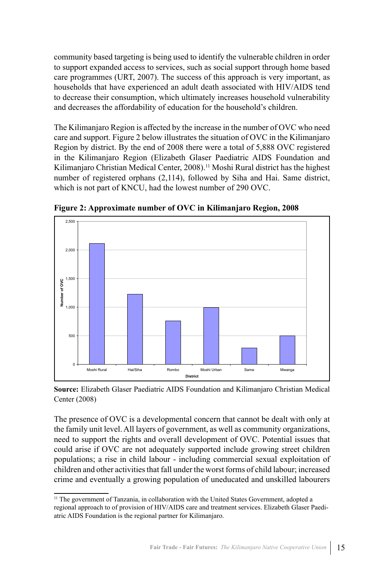community based targeting is being used to identify the vulnerable children in order to support expanded access to services, such as social support through home based care programmes (URT, 2007). The success of this approach is very important, as households that have experienced an adult death associated with HIV/AIDS tend to decrease their consumption, which ultimately increases household vulnerability and decreases the affordability of education for the household's children.

The Kilimanjaro Region is affected by the increase in the number of OVC who need care and support. Figure 2 below illustrates the situation of OVC in the Kilimanjaro Region by district. By the end of 2008 there were a total of 5,888 OVC registered in the Kilimanjaro Region (Elizabeth Glaser Paediatric AIDS Foundation and Kilimanjaro Christian Medical Center, 2008).<sup>11</sup> Moshi Rural district has the highest number of registered orphans (2,114), followed by Siha and Hai. Same district, which is not part of KNCU, had the lowest number of 290 OVC.



**Figure 2: Approximate number of OVC in Kilimanjaro Region, 2008**

**Source:** Elizabeth Glaser Paediatric AIDS Foundation and Kilimanjaro Christian Medical Center (2008)

The presence of OVC is a developmental concern that cannot be dealt with only at the family unit level. All layers of government, as well as community organizations, need to support the rights and overall development of OVC. Potential issues that could arise if OVC are not adequately supported include growing street children populations; a rise in child labour - including commercial sexual exploitation of children and other activities that fall under the worst forms of child labour; increased crime and eventually a growing population of uneducated and unskilled labourers

<sup>&</sup>lt;sup>11</sup> The government of Tanzania, in collaboration with the United States Government, adopted a regional approach to of provision of HIV/AIDS care and treatment services. Elizabeth Glaser Paediatric AIDS Foundation is the regional partner for Kilimanjaro.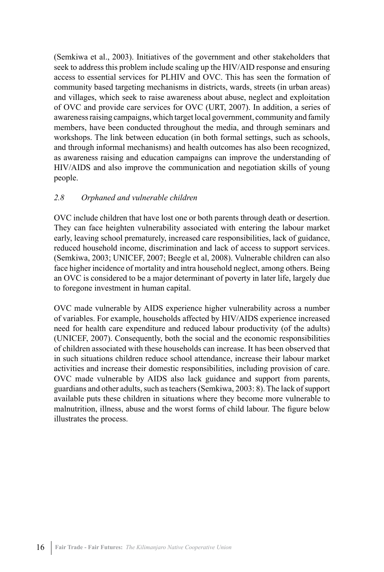(Semkiwa et al., 2003). Initiatives of the government and other stakeholders that seek to address this problem include scaling up the HIV/AID response and ensuring access to essential services for PLHIV and OVC. This has seen the formation of community based targeting mechanisms in districts, wards, streets (in urban areas) and villages, which seek to raise awareness about abuse, neglect and exploitation of OVC and provide care services for OVC (URT, 2007). In addition, a series of awareness raising campaigns, which target local government, community and family members, have been conducted throughout the media, and through seminars and workshops. The link between education (in both formal settings, such as schools, and through informal mechanisms) and health outcomes has also been recognized, as awareness raising and education campaigns can improve the understanding of HIV/AIDS and also improve the communication and negotiation skills of young people.

#### *2.8 Orphaned and vulnerable children*

OVC include children that have lost one or both parents through death or desertion. They can face heighten vulnerability associated with entering the labour market early, leaving school prematurely, increased care responsibilities, lack of guidance, reduced household income, discrimination and lack of access to support services. (Semkiwa, 2003; UNICEF, 2007; Beegle et al, 2008). Vulnerable children can also face higher incidence of mortality and intra household neglect, among others. Being an OVC is considered to be a major determinant of poverty in later life, largely due to foregone investment in human capital.

OVC made vulnerable by AIDS experience higher vulnerability across a number of variables. For example, households affected by HIV/AIDS experience increased need for health care expenditure and reduced labour productivity (of the adults) (UNICEF, 2007). Consequently, both the social and the economic responsibilities of children associated with these households can increase. It has been observed that in such situations children reduce school attendance, increase their labour market activities and increase their domestic responsibilities, including provision of care. OVC made vulnerable by AIDS also lack guidance and support from parents, guardians and other adults, such as teachers (Semkiwa, 2003: 8). The lack of support available puts these children in situations where they become more vulnerable to malnutrition, illness, abuse and the worst forms of child labour. The figure below illustrates the process.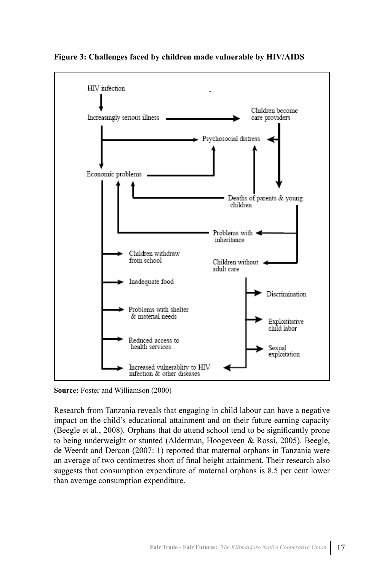

**Figure 3: Challenges faced by children made vulnerable by HIV/AIDS**

**Source:** Foster and Williamson (2000)

Research from Tanzania reveals that engaging in child labour can have a negative impact on the child's educational attainment and on their future earning capacity (Beegle et al., 2008). Orphans that do attend school tend to be significantly prone to being underweight or stunted (Alderman, Hoogeveen & Rossi, 2005). Beegle, de Weerdt and Dercon (2007: 1) reported that maternal orphans in Tanzania were an average of two centimetres short of final height attainment. Their research also suggests that consumption expenditure of maternal orphans is 8.5 per cent lower than average consumption expenditure.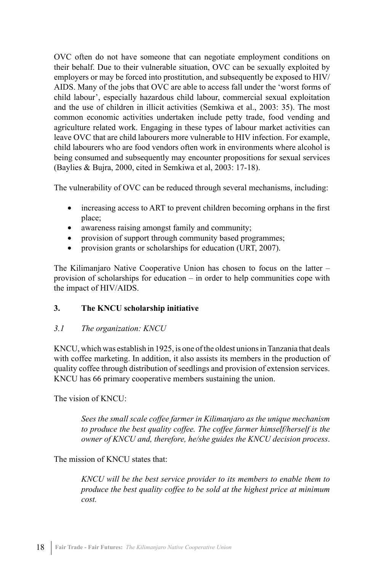OVC often do not have someone that can negotiate employment conditions on their behalf. Due to their vulnerable situation, OVC can be sexually exploited by employers or may be forced into prostitution, and subsequently be exposed to HIV/ AIDS. Many of the jobs that OVC are able to access fall under the 'worst forms of child labour', especially hazardous child labour, commercial sexual exploitation and the use of children in illicit activities (Semkiwa et al., 2003: 35). The most common economic activities undertaken include petty trade, food vending and agriculture related work. Engaging in these types of labour market activities can leave OVC that are child labourers more vulnerable to HIV infection. For example, child labourers who are food vendors often work in environments where alcohol is being consumed and subsequently may encounter propositions for sexual services (Baylies & Bujra, 2000, cited in Semkiwa et al, 2003: 17-18).

The vulnerability of OVC can be reduced through several mechanisms, including:

- increasing access to ART to prevent children becoming orphans in the first place;
- awareness raising amongst family and community;
- provision of support through community based programmes;
- provision grants or scholarships for education (URT, 2007).

The Kilimanjaro Native Cooperative Union has chosen to focus on the latter – provision of scholarships for education – in order to help communities cope with the impact of HIV/AIDS.

#### **3. The KNCU scholarship initiative**

#### *3.1 The organization: KNCU*

KNCU, which was establish in 1925, is one of the oldest unions in Tanzania that deals with coffee marketing. In addition, it also assists its members in the production of quality coffee through distribution of seedlings and provision of extension services. KNCU has 66 primary cooperative members sustaining the union.

The vision of KNCU:

*Sees the small scale coffee farmer in Kilimanjaro as the unique mechanism to produce the best quality coffee. The coffee farmer himself/herself is the owner of KNCU and, therefore, he/she guides the KNCU decision process*.

The mission of KNCU states that:

*KNCU will be the best service provider to its members to enable them to produce the best quality coffee to be sold at the highest price at minimum cost.*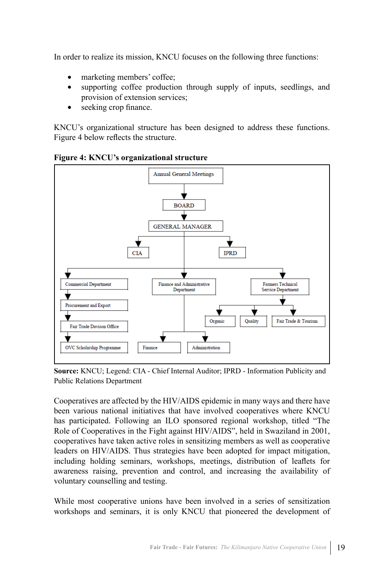In order to realize its mission, KNCU focuses on the following three functions:

- marketing members' coffee;
- supporting coffee production through supply of inputs, seedlings, and provision of extension services;
- seeking crop finance.

KNCU's organizational structure has been designed to address these functions. Figure 4 below reflects the structure.



**Figure 4: KNCU's organizational structure**

**Source:** KNCU; Legend: CIA - Chief Internal Auditor; IPRD - Information Publicity and Public Relations Department

Cooperatives are affected by the HIV/AIDS epidemic in many ways and there have been various national initiatives that have involved cooperatives where KNCU has participated. Following an ILO sponsored regional workshop, titled "The Role of Cooperatives in the Fight against HIV/AIDS", held in Swaziland in 2001, cooperatives have taken active roles in sensitizing members as well as cooperative leaders on HIV/AIDS. Thus strategies have been adopted for impact mitigation, including holding seminars, workshops, meetings, distribution of leaflets for awareness raising, prevention and control, and increasing the availability of voluntary counselling and testing.

While most cooperative unions have been involved in a series of sensitization workshops and seminars, it is only KNCU that pioneered the development of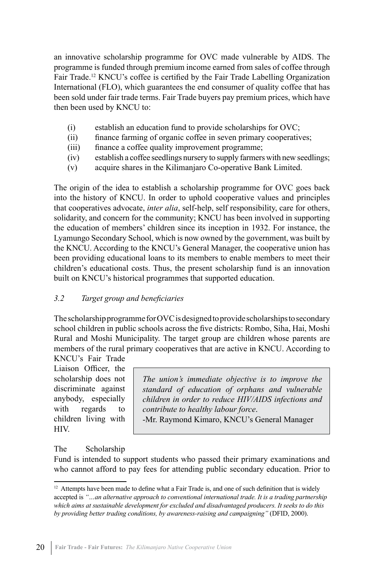an innovative scholarship programme for OVC made vulnerable by AIDS. The programme is funded through premium income earned from sales of coffee through Fair Trade.<sup>12</sup> KNCU's coffee is certified by the Fair Trade Labelling Organization International (FLO), which guarantees the end consumer of quality coffee that has been sold under fair trade terms. Fair Trade buyers pay premium prices, which have then been used by KNCU to:

- (i) establish an education fund to provide scholarships for OVC;
- (ii) finance farming of organic coffee in seven primary cooperatives;
- (iii) finance a coffee quality improvement programme;
- (iv) establish a coffee seedlings nursery to supply farmers with new seedlings;
- (v) acquire shares in the Kilimanjaro Co-operative Bank Limited.

The origin of the idea to establish a scholarship programme for OVC goes back into the history of KNCU. In order to uphold cooperative values and principles that cooperatives advocate, *inter alia*, self-help, self responsibility, care for others, solidarity, and concern for the community; KNCU has been involved in supporting the education of members' children since its inception in 1932. For instance, the Lyamungo Secondary School, which is now owned by the government, was built by the KNCU. According to the KNCU's General Manager, the cooperative union has been providing educational loans to its members to enable members to meet their children's educational costs. Thus, the present scholarship fund is an innovation built on KNCU's historical programmes that supported education.

# *3.2 Target group and beneficiaries*

The scholarship programme for OVC is designed to provide scholarships to secondary school children in public schools across the five districts: Rombo, Siha, Hai, Moshi Rural and Moshi Municipality. The target group are children whose parents are members of the rural primary cooperatives that are active in KNCU. According to KNCU's Fair Trade

Liaison Officer, the scholarship does not discriminate against anybody, especially with regards to children living with HIV.

*The union's immediate objective is to improve the standard of education of orphans and vulnerable children in order to reduce HIV/AIDS infections and contribute to healthy labour force*.

-Mr. Raymond Kimaro, KNCU's General Manager

# The Scholarship

Fund is intended to support students who passed their primary examinations and who cannot afford to pay fees for attending public secondary education. Prior to

 $12$  Attempts have been made to define what a Fair Trade is, and one of such definition that is widely accepted is *"…an alternative approach to conventional international trade. It is a trading partnership which aims at sustainable development for excluded and disadvantaged producers. It seeks to do this by providing better trading conditions, by awareness-raising and campaigning"* (DFID, 2000).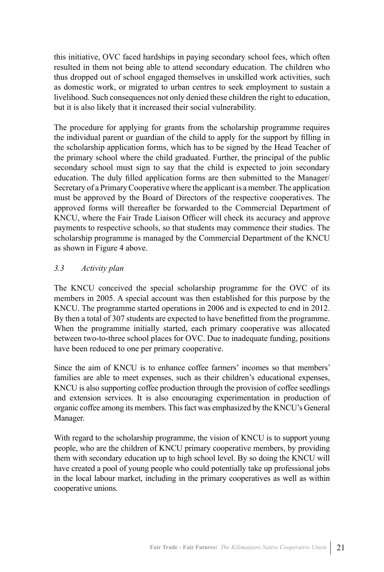this initiative, OVC faced hardships in paying secondary school fees, which often resulted in them not being able to attend secondary education. The children who thus dropped out of school engaged themselves in unskilled work activities, such as domestic work, or migrated to urban centres to seek employment to sustain a livelihood. Such consequences not only denied these children the right to education, but it is also likely that it increased their social vulnerability.

The procedure for applying for grants from the scholarship programme requires the individual parent or guardian of the child to apply for the support by filling in the scholarship application forms, which has to be signed by the Head Teacher of the primary school where the child graduated. Further, the principal of the public secondary school must sign to say that the child is expected to join secondary education. The duly filled application forms are then submitted to the Manager/ Secretary of a Primary Cooperative where the applicant is a member. The application must be approved by the Board of Directors of the respective cooperatives. The approved forms will thereafter be forwarded to the Commercial Department of KNCU, where the Fair Trade Liaison Officer will check its accuracy and approve payments to respective schools, so that students may commence their studies. The scholarship programme is managed by the Commercial Department of the KNCU as shown in Figure 4 above.

#### *3.3 Activity plan*

The KNCU conceived the special scholarship programme for the OVC of its members in 2005. A special account was then established for this purpose by the KNCU. The programme started operations in 2006 and is expected to end in 2012. By then a total of 307 students are expected to have benefitted from the programme. When the programme initially started, each primary cooperative was allocated between two-to-three school places for OVC. Due to inadequate funding, positions have been reduced to one per primary cooperative.

Since the aim of KNCU is to enhance coffee farmers' incomes so that members' families are able to meet expenses, such as their children's educational expenses, KNCU is also supporting coffee production through the provision of coffee seedlings and extension services. It is also encouraging experimentation in production of organic coffee among its members. This fact was emphasized by the KNCU's General Manager.

With regard to the scholarship programme, the vision of KNCU is to support young people, who are the children of KNCU primary cooperative members, by providing them with secondary education up to high school level. By so doing the KNCU will have created a pool of young people who could potentially take up professional jobs in the local labour market, including in the primary cooperatives as well as within cooperative unions.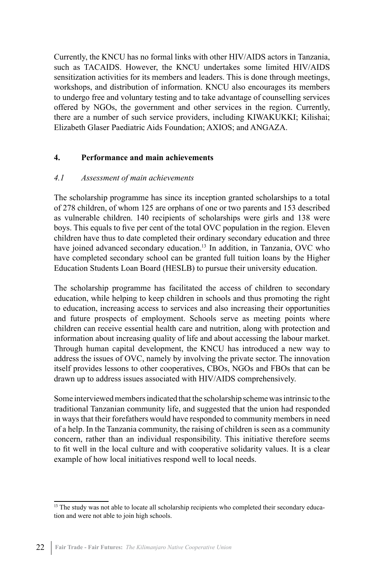Currently, the KNCU has no formal links with other HIV/AIDS actors in Tanzania, such as TACAIDS. However, the KNCU undertakes some limited HIV/AIDS sensitization activities for its members and leaders. This is done through meetings, workshops, and distribution of information. KNCU also encourages its members to undergo free and voluntary testing and to take advantage of counselling services offered by NGOs, the government and other services in the region. Currently, there are a number of such service providers, including KIWAKUKKI; Kilishai; Elizabeth Glaser Paediatric Aids Foundation; AXIOS; and ANGAZA.

#### **4. Performance and main achievements**

#### *4.1 Assessment of main achievements*

The scholarship programme has since its inception granted scholarships to a total of 278 children, of whom 125 are orphans of one or two parents and 153 described as vulnerable children. 140 recipients of scholarships were girls and 138 were boys. This equals to five per cent of the total OVC population in the region. Eleven children have thus to date completed their ordinary secondary education and three have joined advanced secondary education.<sup>13</sup> In addition, in Tanzania, OVC who have completed secondary school can be granted full tuition loans by the Higher Education Students Loan Board (HESLB) to pursue their university education.

The scholarship programme has facilitated the access of children to secondary education, while helping to keep children in schools and thus promoting the right to education, increasing access to services and also increasing their opportunities and future prospects of employment. Schools serve as meeting points where children can receive essential health care and nutrition, along with protection and information about increasing quality of life and about accessing the labour market. Through human capital development, the KNCU has introduced a new way to address the issues of OVC, namely by involving the private sector. The innovation itself provides lessons to other cooperatives, CBOs, NGOs and FBOs that can be drawn up to address issues associated with HIV/AIDS comprehensively.

Some interviewed members indicated that the scholarship scheme was intrinsic to the traditional Tanzanian community life, and suggested that the union had responded in ways that their forefathers would have responded to community members in need of a help. In the Tanzania community, the raising of children is seen as a community concern, rather than an individual responsibility. This initiative therefore seems to fit well in the local culture and with cooperative solidarity values. It is a clear example of how local initiatives respond well to local needs.

<sup>&</sup>lt;sup>13</sup> The study was not able to locate all scholarship recipients who completed their secondary education and were not able to join high schools.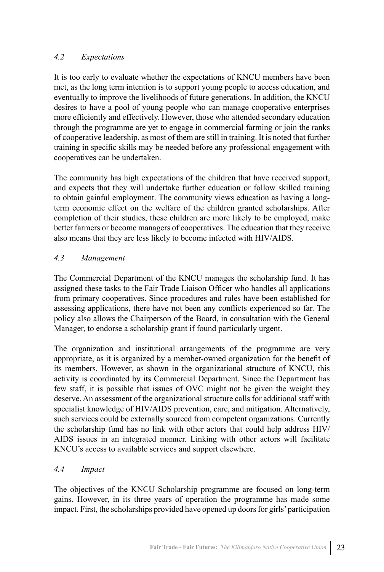#### *4.2 Expectations*

It is too early to evaluate whether the expectations of KNCU members have been met, as the long term intention is to support young people to access education, and eventually to improve the livelihoods of future generations. In addition, the KNCU desires to have a pool of young people who can manage cooperative enterprises more efficiently and effectively. However, those who attended secondary education through the programme are yet to engage in commercial farming or join the ranks of cooperative leadership, as most of them are still in training. It is noted that further training in specific skills may be needed before any professional engagement with cooperatives can be undertaken.

The community has high expectations of the children that have received support, and expects that they will undertake further education or follow skilled training to obtain gainful employment. The community views education as having a longterm economic effect on the welfare of the children granted scholarships. After completion of their studies, these children are more likely to be employed, make better farmers or become managers of cooperatives. The education that they receive also means that they are less likely to become infected with HIV/AIDS.

# *4.3 Management*

The Commercial Department of the KNCU manages the scholarship fund. It has assigned these tasks to the Fair Trade Liaison Officer who handles all applications from primary cooperatives. Since procedures and rules have been established for assessing applications, there have not been any conflicts experienced so far. The policy also allows the Chairperson of the Board, in consultation with the General Manager, to endorse a scholarship grant if found particularly urgent.

The organization and institutional arrangements of the programme are very appropriate, as it is organized by a member-owned organization for the benefit of its members. However, as shown in the organizational structure of KNCU, this activity is coordinated by its Commercial Department. Since the Department has few staff, it is possible that issues of OVC might not be given the weight they deserve. An assessment of the organizational structure calls for additional staff with specialist knowledge of HIV/AIDS prevention, care, and mitigation. Alternatively, such services could be externally sourced from competent organizations. Currently the scholarship fund has no link with other actors that could help address HIV/ AIDS issues in an integrated manner. Linking with other actors will facilitate KNCU's access to available services and support elsewhere.

#### *4.4 Impact*

The objectives of the KNCU Scholarship programme are focused on long-term gains. However, in its three years of operation the programme has made some impact. First, the scholarships provided have opened up doors for girls' participation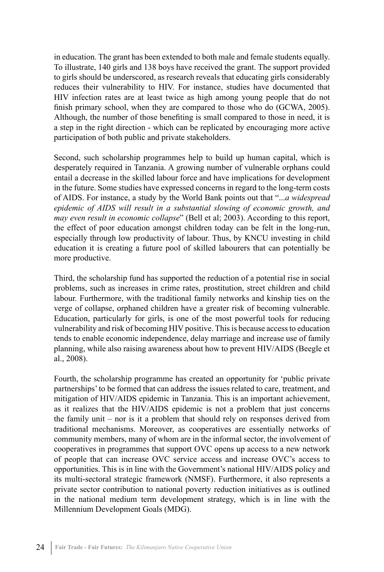in education. The grant has been extended to both male and female students equally. To illustrate, 140 girls and 138 boys have received the grant. The support provided to girls should be underscored, as research reveals that educating girls considerably reduces their vulnerability to HIV. For instance, studies have documented that HIV infection rates are at least twice as high among young people that do not finish primary school, when they are compared to those who do (GCWA, 2005). Although, the number of those benefiting is small compared to those in need, it is a step in the right direction - which can be replicated by encouraging more active participation of both public and private stakeholders.

Second, such scholarship programmes help to build up human capital, which is desperately required in Tanzania. A growing number of vulnerable orphans could entail a decrease in the skilled labour force and have implications for development in the future. Some studies have expressed concerns in regard to the long-term costs of AIDS. For instance, a study by the World Bank points out that "...*a widespread epidemic of AIDS will result in a substantial slowing of economic growth, and may even result in economic collapse*" (Bell et al; 2003). According to this report, the effect of poor education amongst children today can be felt in the long-run, especially through low productivity of labour. Thus, by KNCU investing in child education it is creating a future pool of skilled labourers that can potentially be more productive.

Third, the scholarship fund has supported the reduction of a potential rise in social problems, such as increases in crime rates, prostitution, street children and child labour. Furthermore, with the traditional family networks and kinship ties on the verge of collapse, orphaned children have a greater risk of becoming vulnerable. Education, particularly for girls, is one of the most powerful tools for reducing vulnerability and risk of becoming HIV positive. This is because access to education tends to enable economic independence, delay marriage and increase use of family planning, while also raising awareness about how to prevent HIV/AIDS (Beegle et al., 2008).

Fourth, the scholarship programme has created an opportunity for 'public private partnerships' to be formed that can address the issues related to care, treatment, and mitigation of HIV/AIDS epidemic in Tanzania. This is an important achievement, as it realizes that the HIV/AIDS epidemic is not a problem that just concerns the family unit – nor is it a problem that should rely on responses derived from traditional mechanisms. Moreover, as cooperatives are essentially networks of community members, many of whom are in the informal sector, the involvement of cooperatives in programmes that support OVC opens up access to a new network of people that can increase OVC service access and increase OVC's access to opportunities. This is in line with the Government's national HIV/AIDS policy and its multi-sectoral strategic framework (NMSF). Furthermore, it also represents a private sector contribution to national poverty reduction initiatives as is outlined in the national medium term development strategy, which is in line with the Millennium Development Goals (MDG).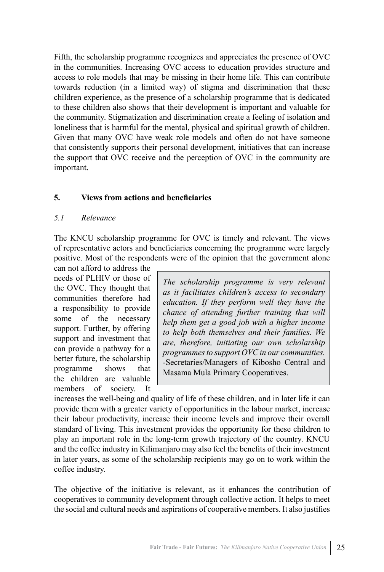Fifth, the scholarship programme recognizes and appreciates the presence of OVC in the communities. Increasing OVC access to education provides structure and access to role models that may be missing in their home life. This can contribute towards reduction (in a limited way) of stigma and discrimination that these children experience, as the presence of a scholarship programme that is dedicated to these children also shows that their development is important and valuable for the community. Stigmatization and discrimination create a feeling of isolation and loneliness that is harmful for the mental, physical and spiritual growth of children. Given that many OVC have weak role models and often do not have someone that consistently supports their personal development, initiatives that can increase the support that OVC receive and the perception of OVC in the community are important.

#### **5. Views from actions and beneficiaries**

#### *5.1 Relevance*

The KNCU scholarship programme for OVC is timely and relevant. The views of representative actors and beneficiaries concerning the programme were largely positive. Most of the respondents were of the opinion that the government alone

can not afford to address the needs of PLHIV or those of the OVC. They thought that communities therefore had a responsibility to provide some of the necessary support. Further, by offering support and investment that can provide a pathway for a better future, the scholarship programme shows that the children are valuable members of society. It

*The scholarship programme is very relevant as it facilitates children's access to secondary education. If they perform well they have the chance of attending further training that will help them get a good job with a higher income to help both themselves and their families. We are, therefore, initiating our own scholarship programmes to support OVC in our communities.*  -Secretaries/Managers of Kibosho Central and Masama Mula Primary Cooperatives.

increases the well-being and quality of life of these children, and in later life it can provide them with a greater variety of opportunities in the labour market, increase their labour productivity, increase their income levels and improve their overall standard of living. This investment provides the opportunity for these children to play an important role in the long-term growth trajectory of the country. KNCU and the coffee industry in Kilimanjaro may also feel the benefits of their investment in later years, as some of the scholarship recipients may go on to work within the coffee industry.

The objective of the initiative is relevant, as it enhances the contribution of cooperatives to community development through collective action. It helps to meet the social and cultural needs and aspirations of cooperative members. It also justifies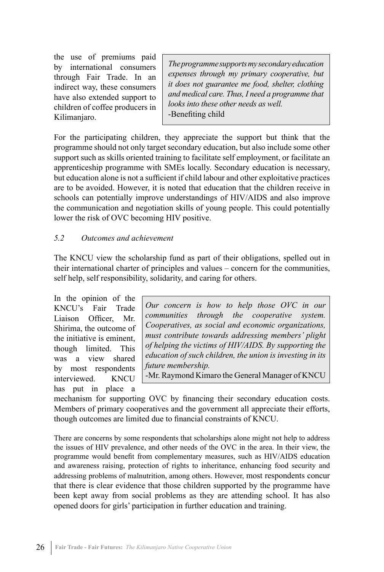the use of premiums paid by international consumers through Fair Trade. In an indirect way, these consumers have also extended support to children of coffee producers in Kilimanjaro.

*The programme supports my secondary education expenses through my primary cooperative, but it does not guarantee me food, shelter, clothing and medical care. Thus, I need a programme that looks into these other needs as well.* -Benefiting child

For the participating children, they appreciate the support but think that the programme should not only target secondary education, but also include some other support such as skills oriented training to facilitate self employment, or facilitate an apprenticeship programme with SMEs locally. Secondary education is necessary, but education alone is not a sufficient if child labour and other exploitative practices are to be avoided. However, it is noted that education that the children receive in schools can potentially improve understandings of HIV/AIDS and also improve the communication and negotiation skills of young people. This could potentially lower the risk of OVC becoming HIV positive.

#### *5.2 Outcomes and achievement*

The KNCU view the scholarship fund as part of their obligations, spelled out in their international charter of principles and values – concern for the communities, self help, self responsibility, solidarity, and caring for others.

In the opinion of the KNCU's Fair Trade Liaison Officer Mr. Shirima, the outcome of the initiative is eminent, though limited. This was a view shared by most respondents interviewed. KNCU has put in place a

*Our concern is how to help those OVC in our communities through the cooperative system. Cooperatives, as social and economic organizations, must contribute towards addressing members' plight of helping the victims of HIV/AIDS. By supporting the education of such children, the union is investing in its future membership.*

-Mr. Raymond Kimaro the General Manager of KNCU

mechanism for supporting OVC by financing their secondary education costs. Members of primary cooperatives and the government all appreciate their efforts, though outcomes are limited due to financial constraints of KNCU.

There are concerns by some respondents that scholarships alone might not help to address the issues of HIV prevalence, and other needs of the OVC in the area. In their view, the programme would benefit from complementary measures, such as HIV/AIDS education and awareness raising, protection of rights to inheritance, enhancing food security and addressing problems of malnutrition, among others. However, most respondents concur that there is clear evidence that those children supported by the programme have been kept away from social problems as they are attending school. It has also opened doors for girls' participation in further education and training.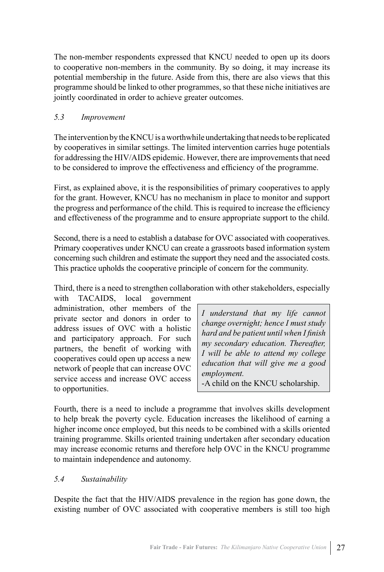The non-member respondents expressed that KNCU needed to open up its doors to cooperative non-members in the community. By so doing, it may increase its potential membership in the future. Aside from this, there are also views that this programme should be linked to other programmes, so that these niche initiatives are jointly coordinated in order to achieve greater outcomes.

#### *5.3 Improvement*

The intervention by the KNCU is a worthwhile undertaking that needs to be replicated by cooperatives in similar settings. The limited intervention carries huge potentials for addressing the HIV/AIDS epidemic. However, there are improvements that need to be considered to improve the effectiveness and efficiency of the programme.

First, as explained above, it is the responsibilities of primary cooperatives to apply for the grant. However, KNCU has no mechanism in place to monitor and support the progress and performance of the child. This is required to increase the efficiency and effectiveness of the programme and to ensure appropriate support to the child.

Second, there is a need to establish a database for OVC associated with cooperatives. Primary cooperatives under KNCU can create a grassroots based information system concerning such children and estimate the support they need and the associated costs. This practice upholds the cooperative principle of concern for the community.

Third, there is a need to strengthen collaboration with other stakeholders, especially

with TACAIDS, local government administration, other members of the private sector and donors in order to address issues of OVC with a holistic and participatory approach. For such partners, the benefit of working with cooperatives could open up access a new network of people that can increase OVC service access and increase OVC access to opportunities.

*I understand that my life cannot change overnight; hence I must study hard and be patient until when I finish my secondary education. Thereafter, I will be able to attend my college education that will give me a good employment.* -A child on the KNCU scholarship.

Fourth, there is a need to include a programme that involves skills development to help break the poverty cycle. Education increases the likelihood of earning a higher income once employed, but this needs to be combined with a skills oriented training programme. Skills oriented training undertaken after secondary education may increase economic returns and therefore help OVC in the KNCU programme to maintain independence and autonomy.

#### *5.4 Sustainability*

Despite the fact that the HIV/AIDS prevalence in the region has gone down, the existing number of OVC associated with cooperative members is still too high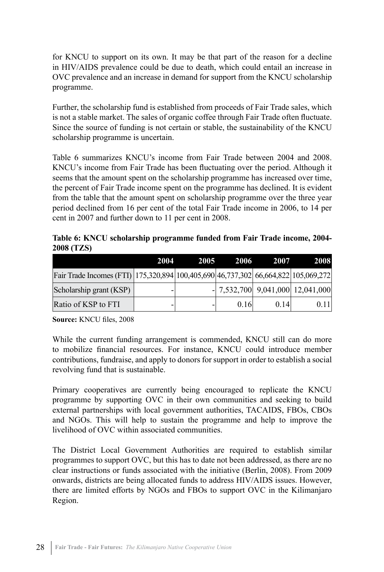for KNCU to support on its own. It may be that part of the reason for a decline in HIV/AIDS prevalence could be due to death, which could entail an increase in OVC prevalence and an increase in demand for support from the KNCU scholarship programme.

Further, the scholarship fund is established from proceeds of Fair Trade sales, which is not a stable market. The sales of organic coffee through Fair Trade often fluctuate. Since the source of funding is not certain or stable, the sustainability of the KNCU scholarship programme is uncertain.

Table 6 summarizes KNCU's income from Fair Trade between 2004 and 2008. KNCU's income from Fair Trade has been fluctuating over the period. Although it seems that the amount spent on the scholarship programme has increased over time, the percent of Fair Trade income spent on the programme has declined. It is evident from the table that the amount spent on scholarship programme over the three year period declined from 16 per cent of the total Fair Trade income in 2006, to 14 per cent in 2007 and further down to 11 per cent in 2008.

**Table 6: KNCU scholarship programme funded from Fair Trade income, 2004- 2008 (TZS)**

|                                                                                    | 2004 | 2005 | 2006 | 2007 | <b>2008</b>                        |
|------------------------------------------------------------------------------------|------|------|------|------|------------------------------------|
| Fair Trade Incomes (FTI) 175,320,894 100,405,690 46,737,302 66,664,822 105,069,272 |      |      |      |      |                                    |
| Scholarship grant (KSP)                                                            |      |      |      |      | $-$ 7,532,700 9,041,000 12,041,000 |
| Ratio of KSP to FTI                                                                |      |      | 0.16 | 0.14 | 0.11                               |

**Source:** KNCU files, 2008

While the current funding arrangement is commended, KNCU still can do more to mobilize financial resources. For instance, KNCU could introduce member contributions, fundraise, and apply to donors for support in order to establish a social revolving fund that is sustainable.

Primary cooperatives are currently being encouraged to replicate the KNCU programme by supporting OVC in their own communities and seeking to build external partnerships with local government authorities, TACAIDS, FBOs, CBOs and NGOs. This will help to sustain the programme and help to improve the livelihood of OVC within associated communities.

The District Local Government Authorities are required to establish similar programmes to support OVC, but this has to date not been addressed, as there are no clear instructions or funds associated with the initiative (Berlin, 2008). From 2009 onwards, districts are being allocated funds to address HIV/AIDS issues. However, there are limited efforts by NGOs and FBOs to support OVC in the Kilimanjaro Region.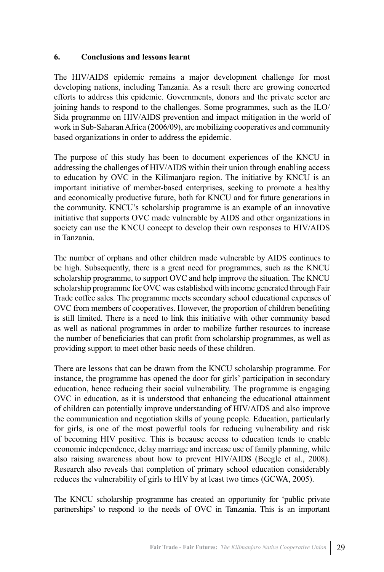#### **6. Conclusions and lessons learnt**

The HIV/AIDS epidemic remains a major development challenge for most developing nations, including Tanzania. As a result there are growing concerted efforts to address this epidemic. Governments, donors and the private sector are joining hands to respond to the challenges. Some programmes, such as the ILO/ Sida programme on HIV/AIDS prevention and impact mitigation in the world of work in Sub-Saharan Africa (2006/09), are mobilizing cooperatives and community based organizations in order to address the epidemic.

The purpose of this study has been to document experiences of the KNCU in addressing the challenges of HIV/AIDS within their union through enabling access to education by OVC in the Kilimanjaro region. The initiative by KNCU is an important initiative of member-based enterprises, seeking to promote a healthy and economically productive future, both for KNCU and for future generations in the community. KNCU's scholarship programme is an example of an innovative initiative that supports OVC made vulnerable by AIDS and other organizations in society can use the KNCU concept to develop their own responses to HIV/AIDS in Tanzania.

The number of orphans and other children made vulnerable by AIDS continues to be high. Subsequently, there is a great need for programmes, such as the KNCU scholarship programme, to support OVC and help improve the situation. The KNCU scholarship programme for OVC was established with income generated through Fair Trade coffee sales. The programme meets secondary school educational expenses of OVC from members of cooperatives. However, the proportion of children benefiting is still limited. There is a need to link this initiative with other community based as well as national programmes in order to mobilize further resources to increase the number of beneficiaries that can profit from scholarship programmes, as well as providing support to meet other basic needs of these children.

There are lessons that can be drawn from the KNCU scholarship programme. For instance, the programme has opened the door for girls' participation in secondary education, hence reducing their social vulnerability. The programme is engaging OVC in education, as it is understood that enhancing the educational attainment of children can potentially improve understanding of HIV/AIDS and also improve the communication and negotiation skills of young people. Education, particularly for girls, is one of the most powerful tools for reducing vulnerability and risk of becoming HIV positive. This is because access to education tends to enable economic independence, delay marriage and increase use of family planning, while also raising awareness about how to prevent HIV/AIDS (Beegle et al., 2008). Research also reveals that completion of primary school education considerably reduces the vulnerability of girls to HIV by at least two times (GCWA, 2005).

The KNCU scholarship programme has created an opportunity for 'public private partnerships' to respond to the needs of OVC in Tanzania. This is an important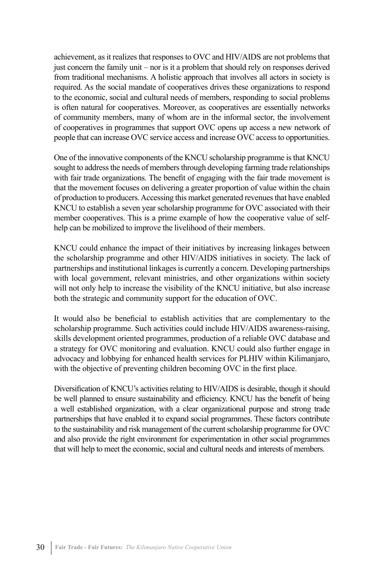achievement, as it realizes that responses to OVC and HIV/AIDS are not problems that just concern the family unit – nor is it a problem that should rely on responses derived from traditional mechanisms. A holistic approach that involves all actors in society is required. As the social mandate of cooperatives drives these organizations to respond to the economic, social and cultural needs of members, responding to social problems is often natural for cooperatives. Moreover, as cooperatives are essentially networks of community members, many of whom are in the informal sector, the involvement of cooperatives in programmes that support OVC opens up access a new network of people that can increase OVC service access and increase OVC access to opportunities.

One of the innovative components of the KNCU scholarship programme is that KNCU sought to address the needs of members through developing farming trade relationships with fair trade organizations. The benefit of engaging with the fair trade movement is that the movement focuses on delivering a greater proportion of value within the chain of production to producers. Accessing this market generated revenues that have enabled KNCU to establish a seven year scholarship programme for OVC associated with their member cooperatives. This is a prime example of how the cooperative value of selfhelp can be mobilized to improve the livelihood of their members.

KNCU could enhance the impact of their initiatives by increasing linkages between the scholarship programme and other HIV/AIDS initiatives in society. The lack of partnerships and institutional linkages is currently a concern. Developing partnerships with local government, relevant ministries, and other organizations within society will not only help to increase the visibility of the KNCU initiative, but also increase both the strategic and community support for the education of OVC.

It would also be beneficial to establish activities that are complementary to the scholarship programme. Such activities could include HIV/AIDS awareness-raising, skills development oriented programmes, production of a reliable OVC database and a strategy for OVC monitoring and evaluation. KNCU could also further engage in advocacy and lobbying for enhanced health services for PLHIV within Kilimanjaro, with the objective of preventing children becoming OVC in the first place.

Diversification of KNCU's activities relating to HIV/AIDS is desirable, though it should be well planned to ensure sustainability and efficiency. KNCU has the benefit of being a well established organization, with a clear organizational purpose and strong trade partnerships that have enabled it to expand social programmes. These factors contribute to the sustainability and risk management of the current scholarship programme for OVC and also provide the right environment for experimentation in other social programmes that will help to meet the economic, social and cultural needs and interests of members.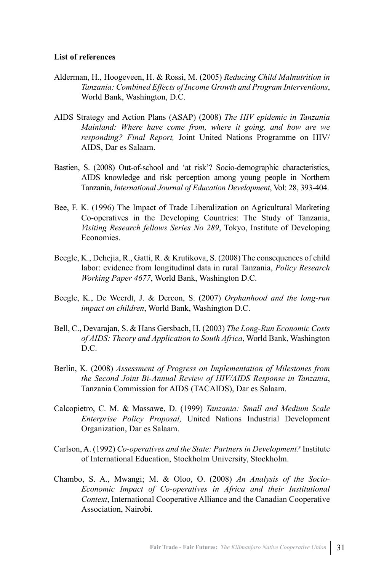#### **List of references**

- Alderman, H., Hoogeveen, H. & Rossi, M. (2005) *Reducing Child Malnutrition in Tanzania: Combined Effects of Income Growth and Program Interventions*, World Bank, Washington, D.C.
- AIDS Strategy and Action Plans (ASAP) (2008) *The HIV epidemic in Tanzania Mainland: Where have come from, where it going, and how are we responding? Final Report,* Joint United Nations Programme on HIV/ AIDS, Dar es Salaam.
- Bastien, S. (2008) Out-of-school and 'at risk'? Socio-demographic characteristics, AIDS knowledge and risk perception among young people in Northern Tanzania, *International Journal of Education Development*, Vol: 28, 393-404.
- Bee, F. K. (1996) The Impact of Trade Liberalization on Agricultural Marketing Co-operatives in the Developing Countries: The Study of Tanzania, *Visiting Research fellows Series No 289*, Tokyo, Institute of Developing **Economies**
- Beegle, K., Dehejia, R., Gatti, R. & Krutikova, S. (2008) The consequences of child labor: evidence from longitudinal data in rural Tanzania, *Policy Research Working Paper 4677*, World Bank, Washington D.C.
- Beegle, K., De Weerdt, J. & Dercon, S. (2007) *Orphanhood and the long-run impact on children*, World Bank, Washington D.C.
- Bell, C., Devarajan, S. & Hans Gersbach, H. (2003) *The Long-Run Economic Costs of AIDS: Theory and Application to South Africa*, World Bank, Washington D.C.
- Berlin, K. (2008) *Assessment of Progress on Implementation of Milestones from the Second Joint Bi-Annual Review of HIV/AIDS Response in Tanzania*, Tanzania Commission for AIDS (TACAIDS), Dar es Salaam.
- Calcopietro, C. M. & Massawe, D. (1999) *Tanzania: Small and Medium Scale Enterprise Policy Proposal,* United Nations Industrial Development Organization, Dar es Salaam.
- Carlson, A. (1992) *Co-operatives and the State: Partners in Development?* Institute of International Education, Stockholm University, Stockholm.
- Chambo, S. A., Mwangi; M. & Oloo, O. (2008) *An Analysis of the Socio-Economic Impact of Co-operatives in Africa and their Institutional Context*, International Cooperative Alliance and the Canadian Cooperative Association, Nairobi.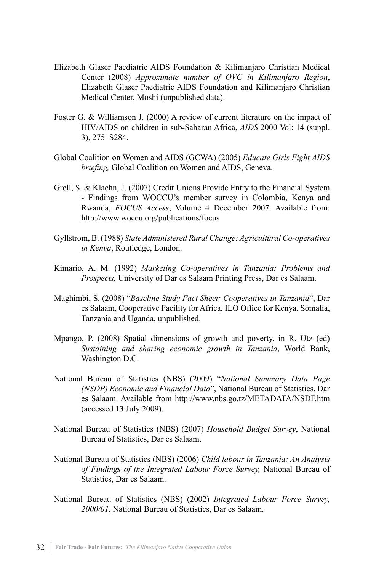- Elizabeth Glaser Paediatric AIDS Foundation & Kilimanjaro Christian Medical Center (2008) *Approximate number of OVC in Kilimanjaro Region*, Elizabeth Glaser Paediatric AIDS Foundation and Kilimanjaro Christian Medical Center, Moshi (unpublished data).
- Foster G. & Williamson J. (2000) A review of current literature on the impact of HIV/AIDS on children in sub-Saharan Africa, *AIDS* 2000 Vol: 14 (suppl. 3), 275–S284.
- Global Coalition on Women and AIDS (GCWA) (2005) *Educate Girls Fight AIDS briefing,* Global Coalition on Women and AIDS, Geneva.
- Grell, S. & Klaehn, J. (2007) Credit Unions Provide Entry to the Financial System - Findings from WOCCU's member survey in Colombia, Kenya and Rwanda, *FOCUS Access*, Volume 4 December 2007. Available from: http://www.woccu.org/publications/focus
- Gyllstrom, B. (1988) *State Administered Rural Change: Agricultural Co-operatives in Kenya*, Routledge, London.
- Kimario, A. M. (1992) *Marketing Co-operatives in Tanzania: Problems and Prospects,* University of Dar es Salaam Printing Press, Dar es Salaam.
- Maghimbi, S. (2008) "*Baseline Study Fact Sheet: Cooperatives in Tanzania*", Dar es Salaam, Cooperative Facility for Africa, ILO Office for Kenya, Somalia, Tanzania and Uganda, unpublished.
- Mpango, P. (2008) Spatial dimensions of growth and poverty, in R. Utz (ed) *Sustaining and sharing economic growth in Tanzania*, World Bank, Washington D.C.
- National Bureau of Statistics (NBS) (2009) "*National Summary Data Page (NSDP) Economic and Financial Data*", National Bureau of Statistics, Dar es Salaam. Available from http://www.nbs.go.tz/METADATA/NSDF.htm (accessed 13 July 2009).
- National Bureau of Statistics (NBS) (2007) *Household Budget Survey*, National Bureau of Statistics, Dar es Salaam.
- National Bureau of Statistics (NBS) (2006) *Child labour in Tanzania: An Analysis of Findings of the Integrated Labour Force Survey,* National Bureau of Statistics, Dar es Salaam.
- National Bureau of Statistics (NBS) (2002) *Integrated Labour Force Survey, 2000/01*, National Bureau of Statistics, Dar es Salaam.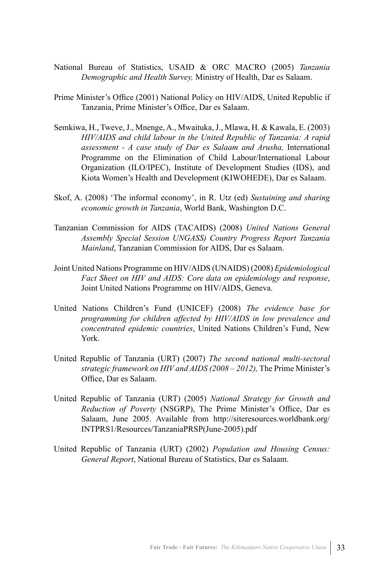- National Bureau of Statistics, USAID & ORC MACRO (2005) *Tanzania Demographic and Health Survey,* Ministry of Health, Dar es Salaam.
- Prime Minister's Office (2001) National Policy on HIV/AIDS, United Republic if Tanzania, Prime Minister's Office, Dar es Salaam.
- Semkiwa, H., Tweve, J., Mnenge, A., Mwaituka, J., Mlawa, H. & Kawala, E. (2003) *HIV/AIDS and child labour in the United Republic of Tanzania: A rapid assessment - A case study of Dar es Salaam and Arusha,* International Programme on the Elimination of Child Labour/International Labour Organization (ILO/IPEC), Institute of Development Studies (IDS), and Kiota Women's Health and Development (KIWOHEDE), Dar es Salaam.
- Skof, A. (2008) 'The informal economy', in R. Utz (ed) *Sustaining and sharing economic growth in Tanzania*, World Bank, Washington D.C.
- Tanzanian Commission for AIDS (TACAIDS) (2008) *United Nations General Assembly Special Session UNGASS) Country Progress Report Tanzania Mainland*, Tanzanian Commission for AIDS, Dar es Salaam.
- Joint United Nations Programme on HIV/AIDS (UNAIDS) (2008) *Epidemiological Fact Sheet on HIV and AIDS: Core data on epidemiology and response*, Joint United Nations Programme on HIV/AIDS, Geneva.
- United Nations Children's Fund (UNICEF) (2008) *The evidence base for programming for children affected by HIV/AIDS in low prevalence and concentrated epidemic countries*, United Nations Children's Fund, New York.
- United Republic of Tanzania (URT) (2007) *The second national multi-sectoral strategic framework on HIV and AIDS (2008 – 2012),* The Prime Minister's Office, Dar es Salaam.
- United Republic of Tanzania (URT) (2005) *National Strategy for Growth and Reduction of Poverty* (NSGRP), The Prime Minister's Office, Dar es Salaam, June 2005. Available from http://siteresources.worldbank.org/ INTPRS1/Resources/TanzaniaPRSP(June-2005).pdf
- United Republic of Tanzania (URT) (2002) *Population and Housing Census: General Report*, National Bureau of Statistics, Dar es Salaam.